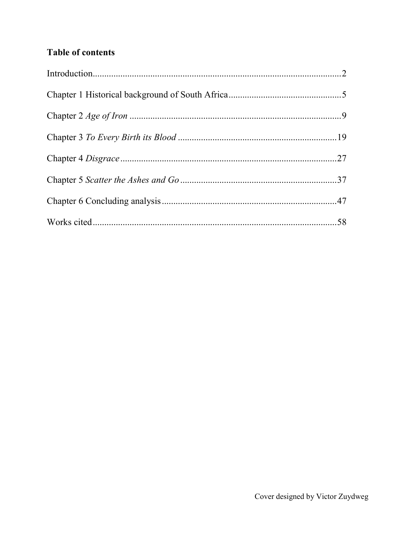# **Table of contents**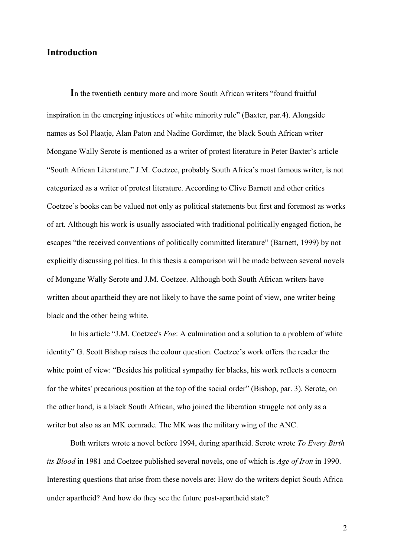# **Introduction**

**I**n the twentieth century more and more South African writers "found fruitful inspiration in the emerging injustices of white minority rule" (Baxter, par.4). Alongside names as Sol Plaatje, Alan Paton and Nadine Gordimer, the black South African writer Mongane Wally Serote is mentioned as a writer of protest literature in Peter Baxter's article "South African Literature." J.M. Coetzee, probably South Africa's most famous writer, is not categorized as a writer of protest literature. According to Clive Barnett and other critics Coetzee's books can be valued not only as political statements but first and foremost as works of art. Although his work is usually associated with traditional politically engaged fiction, he escapes "the received conventions of politically committed literature" (Barnett, 1999) by not explicitly discussing politics. In this thesis a comparison will be made between several novels of Mongane Wally Serote and J.M. Coetzee. Although both South African writers have written about apartheid they are not likely to have the same point of view, one writer being black and the other being white.

In his article "J.M. Coetzee's *Foe*: A culmination and a solution to a problem of white identity" G. Scott Bishop raises the colour question. Coetzee's work offers the reader the white point of view: "Besides his political sympathy for blacks, his work reflects a concern for the whites' precarious position at the top of the social order" (Bishop, par. 3). Serote, on the other hand, is a black South African, who joined the liberation struggle not only as a writer but also as an MK comrade. The MK was the military wing of the ANC.

Both writers wrote a novel before 1994, during apartheid. Serote wrote *To Every Birth its Blood* in 1981 and Coetzee published several novels, one of which is *Age of Iron* in 1990. Interesting questions that arise from these novels are: How do the writers depict South Africa under apartheid? And how do they see the future post-apartheid state?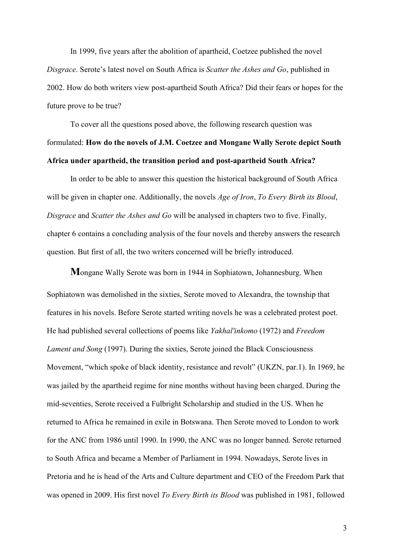In 1999, five years after the abolition of apartheid, Coetzee published the novel *Disgrace*. Serote's latest novel on South Africa is *Scatter the Ashes and Go*, published in 2002. How do both writers view post-apartheid South Africa? Did their fears or hopes for the future prove to be true?

To cover all the questions posed above, the following research question was formulated: **How do the novels of J.M. Coetzee and Mongane Wally Serote depict South Africa under apartheid, the transition period and post-apartheid South Africa?**

In order to be able to answer this question the historical background of South Africa will be given in chapter one. Additionally, the novels *Age of Iron*, *To Every Birth its Blood*, *Disgrace* and *Scatter the Ashes and Go* will be analysed in chapters two to five. Finally, chapter 6 contains a concluding analysis of the four novels and thereby answers the research question. But first of all, the two writers concerned will be briefly introduced.

**M**ongane Wally Serote was born in 1944 in Sophiatown, Johannesburg. When Sophiatown was demolished in the sixties, Serote moved to Alexandra, the township that features in his novels. Before Serote started writing novels he was a celebrated protest poet. He had published several collections of poems like *Yakhal'inkomo* (1972) and *Freedom Lament and Song* (1997). During the sixties, Serote joined the Black Consciousness Movement, "which spoke of black identity, resistance and revolt" (UKZN, par.1). In 1969, he was jailed by the apartheid regime for nine months without having been charged. During the mid-seventies, Serote received a Fulbright Scholarship and studied in the US. When he returned to Africa he remained in exile in Botswana. Then Serote moved to London to work for the ANC from 1986 until 1990. In 1990, the ANC was no longer banned. Serote returned to South Africa and became a Member of Parliament in 1994. Nowadays, Serote lives in Pretoria and he is head of the Arts and Culture department and CEO of the Freedom Park that was opened in 2009. His first novel *To Every Birth its Blood* was published in 1981, followed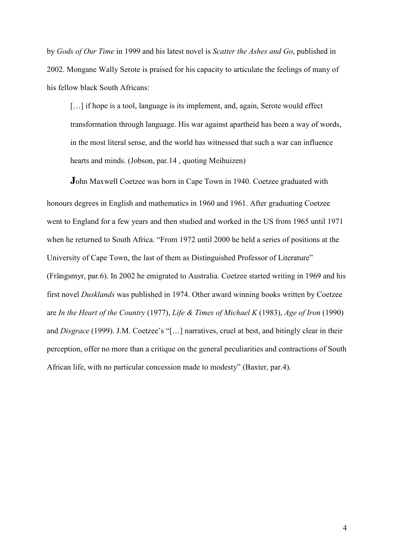by *Gods of Our Time* in 1999 and his latest novel is *Scatter the Ashes and Go*, published in 2002. Mongane Wally Serote is praised for his capacity to articulate the feelings of many of his fellow black South Africans:

[...] if hope is a tool, language is its implement, and, again, Serote would effect transformation through language. His war against apartheid has been a way of words, in the most literal sense, and the world has witnessed that such a war can influence hearts and minds. (Jobson, par.14 , quoting Meihuizen)

**J**ohn Maxwell Coetzee was born in Cape Town in 1940. Coetzee graduated with honours degrees in English and mathematics in 1960 and 1961. After graduating Coetzee went to England for a few years and then studied and worked in the US from 1965 until 1971 when he returned to South Africa. "From 1972 until 2000 he held a series of positions at the University of Cape Town, the last of them as Distinguished Professor of Literature" (Frängsmyr, par.6). In 2002 he emigrated to Australia. Coetzee started writing in 1969 and his first novel *Dusklands* was published in 1974. Other award winning books written by Coetzee are *In the Heart of the Country* (1977), *Life & Times of Michael K* (1983), *Age of Iron* (1990) and *Disgrace* (1999). J.M. Coetzee's "[…] narratives, cruel at best, and bitingly clear in their perception, offer no more than a critique on the general peculiarities and contractions of South African life, with no particular concession made to modesty" (Baxter, par.4).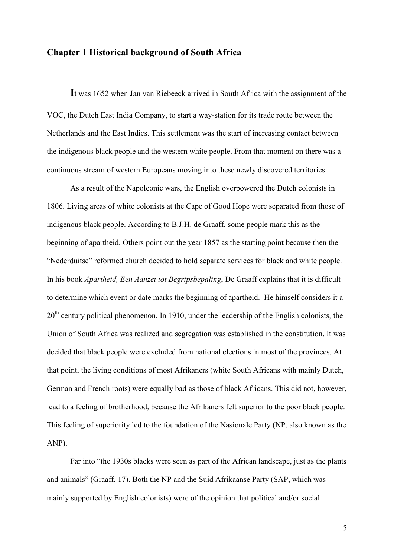# **Chapter 1 Historical background of South Africa**

**I**t was 1652 when Jan van Riebeeck arrived in South Africa with the assignment of the VOC, the Dutch East India Company, to start a way-station for its trade route between the Netherlands and the East Indies. This settlement was the start of increasing contact between the indigenous black people and the western white people. From that moment on there was a continuous stream of western Europeans moving into these newly discovered territories.

As a result of the Napoleonic wars, the English overpowered the Dutch colonists in 1806. Living areas of white colonists at the Cape of Good Hope were separated from those of indigenous black people. According to B.J.H. de Graaff, some people mark this as the beginning of apartheid. Others point out the year 1857 as the starting point because then the "Nederduitse" reformed church decided to hold separate services for black and white people. In his book *Apartheid, Een Aanzet tot Begripsbepaling*, De Graaff explains that it is difficult to determine which event or date marks the beginning of apartheid. He himself considers it a 20<sup>th</sup> century political phenomenon. In 1910, under the leadership of the English colonists, the Union of South Africa was realized and segregation was established in the constitution. It was decided that black people were excluded from national elections in most of the provinces. At that point, the living conditions of most Afrikaners (white South Africans with mainly Dutch, German and French roots) were equally bad as those of black Africans. This did not, however, lead to a feeling of brotherhood, because the Afrikaners felt superior to the poor black people. This feeling of superiority led to the foundation of the Nasionale Party (NP, also known as the ANP).

Far into "the 1930s blacks were seen as part of the African landscape, just as the plants and animals" (Graaff, 17). Both the NP and the Suid Afrikaanse Party (SAP, which was mainly supported by English colonists) were of the opinion that political and/or social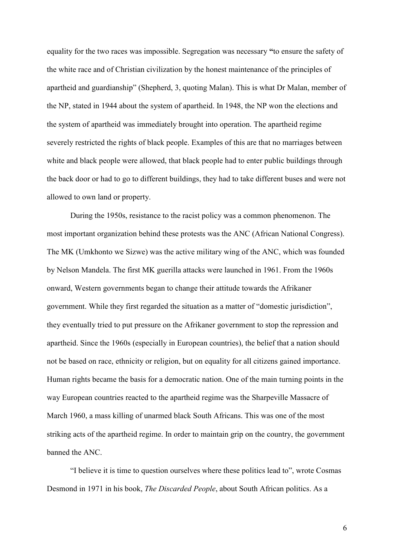equality for the two races was impossible. Segregation was necessary **"**to ensure the safety of the white race and of Christian civilization by the honest maintenance of the principles of apartheid and guardianship" (Shepherd, 3, quoting Malan). This is what Dr Malan, member of the NP, stated in 1944 about the system of apartheid. In 1948, the NP won the elections and the system of apartheid was immediately brought into operation. The apartheid regime severely restricted the rights of black people. Examples of this are that no marriages between white and black people were allowed, that black people had to enter public buildings through the back door or had to go to different buildings, they had to take different buses and were not allowed to own land or property.

During the 1950s, resistance to the racist policy was a common phenomenon. The most important organization behind these protests was the ANC (African National Congress). The MK (Umkhonto we Sizwe) was the active military wing of the ANC, which was founded by Nelson Mandela. The first MK guerilla attacks were launched in 1961. From the 1960s onward, Western governments began to change their attitude towards the Afrikaner government. While they first regarded the situation as a matter of "domestic jurisdiction", they eventually tried to put pressure on the Afrikaner government to stop the repression and apartheid. Since the 1960s (especially in European countries), the belief that a nation should not be based on race, ethnicity or religion, but on equality for all citizens gained importance. Human rights became the basis for a democratic nation. One of the main turning points in the way European countries reacted to the apartheid regime was the Sharpeville Massacre of March 1960, a mass killing of unarmed black South Africans. This was one of the most striking acts of the apartheid regime. In order to maintain grip on the country, the government banned the ANC.

"I believe it is time to question ourselves where these politics lead to", wrote Cosmas Desmond in 1971 in his book, *The Discarded People*, about South African politics. As a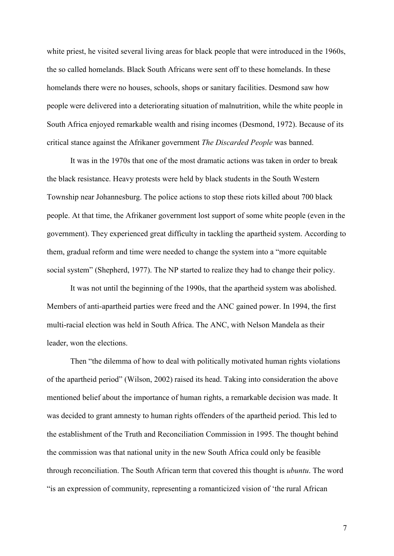white priest, he visited several living areas for black people that were introduced in the 1960s, the so called homelands. Black South Africans were sent off to these homelands. In these homelands there were no houses, schools, shops or sanitary facilities. Desmond saw how people were delivered into a deteriorating situation of malnutrition, while the white people in South Africa enjoyed remarkable wealth and rising incomes (Desmond, 1972). Because of its critical stance against the Afrikaner government *The Discarded People* was banned.

It was in the 1970s that one of the most dramatic actions was taken in order to break the black resistance. Heavy protests were held by black students in the South Western Township near Johannesburg. The police actions to stop these riots killed about 700 black people. At that time, the Afrikaner government lost support of some white people (even in the government). They experienced great difficulty in tackling the apartheid system. According to them, gradual reform and time were needed to change the system into a "more equitable social system" (Shepherd, 1977). The NP started to realize they had to change their policy.

It was not until the beginning of the 1990s, that the apartheid system was abolished. Members of anti-apartheid parties were freed and the ANC gained power. In 1994, the first multi-racial election was held in South Africa. The ANC, with Nelson Mandela as their leader, won the elections.

Then "the dilemma of how to deal with politically motivated human rights violations of the apartheid period" (Wilson, 2002) raised its head. Taking into consideration the above mentioned belief about the importance of human rights, a remarkable decision was made. It was decided to grant amnesty to human rights offenders of the apartheid period. This led to the establishment of the Truth and Reconciliation Commission in 1995. The thought behind the commission was that national unity in the new South Africa could only be feasible through reconciliation. The South African term that covered this thought is *ubuntu*. The word "is an expression of community, representing a romanticized vision of 'the rural African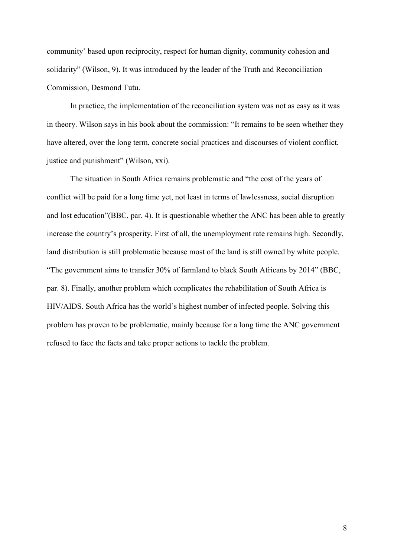community' based upon reciprocity, respect for human dignity, community cohesion and solidarity" (Wilson, 9). It was introduced by the leader of the Truth and Reconciliation Commission, Desmond Tutu.

In practice, the implementation of the reconciliation system was not as easy as it was in theory. Wilson says in his book about the commission: "It remains to be seen whether they have altered, over the long term, concrete social practices and discourses of violent conflict, justice and punishment" (Wilson, xxi).

The situation in South Africa remains problematic and "the cost of the years of conflict will be paid for a long time yet, not least in terms of lawlessness, social disruption and lost education"(BBC, par. 4). It is questionable whether the ANC has been able to greatly increase the country's prosperity. First of all, the unemployment rate remains high. Secondly, land distribution is still problematic because most of the land is still owned by white people. "The government aims to transfer 30% of farmland to black South Africans by 2014" (BBC, par. 8). Finally, another problem which complicates the rehabilitation of South Africa is HIV/AIDS. South Africa has the world's highest number of infected people. Solving this problem has proven to be problematic, mainly because for a long time the ANC government refused to face the facts and take proper actions to tackle the problem.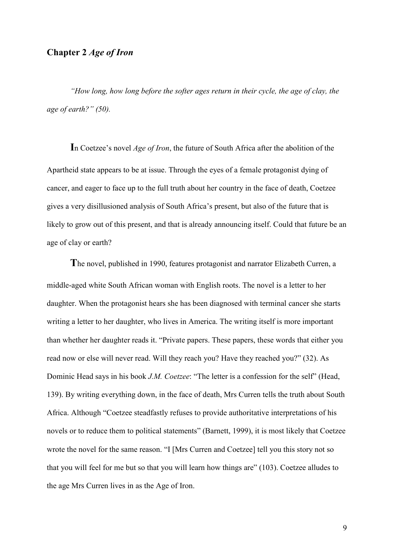# **Chapter 2** *Age of Iron*

*"How long, how long before the softer ages return in their cycle, the age of clay, the age of earth?" (50).* 

**I**n Coetzee's novel *Age of Iron*, the future of South Africa after the abolition of the Apartheid state appears to be at issue. Through the eyes of a female protagonist dying of cancer, and eager to face up to the full truth about her country in the face of death, Coetzee gives a very disillusioned analysis of South Africa's present, but also of the future that is likely to grow out of this present, and that is already announcing itself. Could that future be an age of clay or earth?

**T**he novel, published in 1990, features protagonist and narrator Elizabeth Curren, a middle-aged white South African woman with English roots. The novel is a letter to her daughter. When the protagonist hears she has been diagnosed with terminal cancer she starts writing a letter to her daughter, who lives in America. The writing itself is more important than whether her daughter reads it. "Private papers. These papers, these words that either you read now or else will never read. Will they reach you? Have they reached you?" (32). As Dominic Head says in his book *J.M. Coetzee*: "The letter is a confession for the self" (Head, 139). By writing everything down, in the face of death, Mrs Curren tells the truth about South Africa. Although "Coetzee steadfastly refuses to provide authoritative interpretations of his novels or to reduce them to political statements" (Barnett, 1999), it is most likely that Coetzee wrote the novel for the same reason. "I [Mrs Curren and Coetzee] tell you this story not so that you will feel for me but so that you will learn how things are" (103). Coetzee alludes to the age Mrs Curren lives in as the Age of Iron.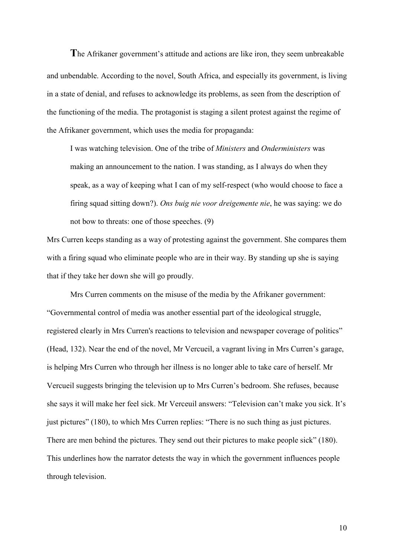**T**he Afrikaner government's attitude and actions are like iron, they seem unbreakable and unbendable. According to the novel, South Africa, and especially its government, is living in a state of denial, and refuses to acknowledge its problems, as seen from the description of the functioning of the media. The protagonist is staging a silent protest against the regime of the Afrikaner government, which uses the media for propaganda:

I was watching television. One of the tribe of *Ministers* and *Onderministers* was making an announcement to the nation. I was standing, as I always do when they speak, as a way of keeping what I can of my self-respect (who would choose to face a firing squad sitting down?). *Ons buig nie voor dreigemente nie*, he was saying: we do not bow to threats: one of those speeches. (9)

Mrs Curren keeps standing as a way of protesting against the government. She compares them with a firing squad who eliminate people who are in their way. By standing up she is saying that if they take her down she will go proudly.

Mrs Curren comments on the misuse of the media by the Afrikaner government: "Governmental control of media was another essential part of the ideological struggle, registered clearly in Mrs Curren's reactions to television and newspaper coverage of politics" (Head, 132). Near the end of the novel, Mr Vercueil, a vagrant living in Mrs Curren's garage, is helping Mrs Curren who through her illness is no longer able to take care of herself. Mr Vercueil suggests bringing the television up to Mrs Curren's bedroom. She refuses, because she says it will make her feel sick. Mr Verceuil answers: "Television can't make you sick. It's just pictures" (180), to which Mrs Curren replies: "There is no such thing as just pictures. There are men behind the pictures. They send out their pictures to make people sick" (180). This underlines how the narrator detests the way in which the government influences people through television.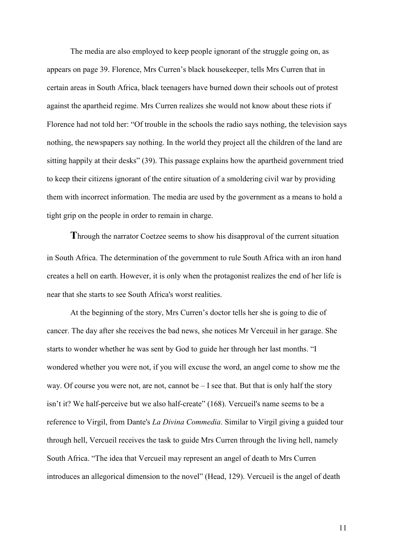The media are also employed to keep people ignorant of the struggle going on, as appears on page 39. Florence, Mrs Curren's black housekeeper, tells Mrs Curren that in certain areas in South Africa, black teenagers have burned down their schools out of protest against the apartheid regime. Mrs Curren realizes she would not know about these riots if Florence had not told her: "Of trouble in the schools the radio says nothing, the television says nothing, the newspapers say nothing. In the world they project all the children of the land are sitting happily at their desks" (39). This passage explains how the apartheid government tried to keep their citizens ignorant of the entire situation of a smoldering civil war by providing them with incorrect information. The media are used by the government as a means to hold a tight grip on the people in order to remain in charge.

**T**hrough the narrator Coetzee seems to show his disapproval of the current situation in South Africa. The determination of the government to rule South Africa with an iron hand creates a hell on earth. However, it is only when the protagonist realizes the end of her life is near that she starts to see South Africa's worst realities.

At the beginning of the story, Mrs Curren's doctor tells her she is going to die of cancer. The day after she receives the bad news, she notices Mr Verceuil in her garage. She starts to wonder whether he was sent by God to guide her through her last months. "I wondered whether you were not, if you will excuse the word, an angel come to show me the way. Of course you were not, are not, cannot be – I see that. But that is only half the story isn't it? We half-perceive but we also half-create" (168). Vercueil's name seems to be a reference to Virgil, from Dante's *La Divina Commedia*. Similar to Virgil giving a guided tour through hell, Vercueil receives the task to guide Mrs Curren through the living hell, namely South Africa. "The idea that Vercueil may represent an angel of death to Mrs Curren introduces an allegorical dimension to the novel" (Head, 129). Vercueil is the angel of death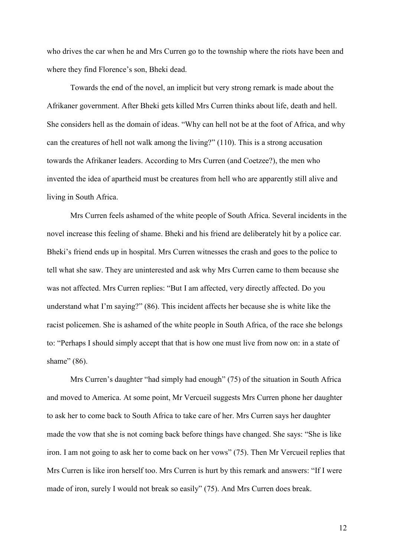who drives the car when he and Mrs Curren go to the township where the riots have been and where they find Florence's son, Bheki dead.

Towards the end of the novel, an implicit but very strong remark is made about the Afrikaner government. After Bheki gets killed Mrs Curren thinks about life, death and hell. She considers hell as the domain of ideas. "Why can hell not be at the foot of Africa, and why can the creatures of hell not walk among the living?" (110). This is a strong accusation towards the Afrikaner leaders. According to Mrs Curren (and Coetzee?), the men who invented the idea of apartheid must be creatures from hell who are apparently still alive and living in South Africa.

Mrs Curren feels ashamed of the white people of South Africa. Several incidents in the novel increase this feeling of shame. Bheki and his friend are deliberately hit by a police car. Bheki's friend ends up in hospital. Mrs Curren witnesses the crash and goes to the police to tell what she saw. They are uninterested and ask why Mrs Curren came to them because she was not affected. Mrs Curren replies: "But I am affected, very directly affected. Do you understand what I'm saying?" (86). This incident affects her because she is white like the racist policemen. She is ashamed of the white people in South Africa, of the race she belongs to: "Perhaps I should simply accept that that is how one must live from now on: in a state of shame" (86).

Mrs Curren's daughter "had simply had enough" (75) of the situation in South Africa and moved to America. At some point, Mr Vercueil suggests Mrs Curren phone her daughter to ask her to come back to South Africa to take care of her. Mrs Curren says her daughter made the vow that she is not coming back before things have changed. She says: "She is like iron. I am not going to ask her to come back on her vows" (75). Then Mr Vercueil replies that Mrs Curren is like iron herself too. Mrs Curren is hurt by this remark and answers: "If I were made of iron, surely I would not break so easily" (75). And Mrs Curren does break.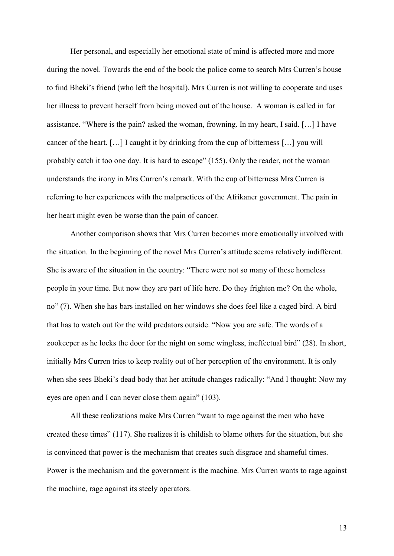Her personal, and especially her emotional state of mind is affected more and more during the novel. Towards the end of the book the police come to search Mrs Curren's house to find Bheki's friend (who left the hospital). Mrs Curren is not willing to cooperate and uses her illness to prevent herself from being moved out of the house. A woman is called in for assistance. "Where is the pain? asked the woman, frowning. In my heart, I said. […] I have cancer of the heart. […] I caught it by drinking from the cup of bitterness […] you will probably catch it too one day. It is hard to escape" (155). Only the reader, not the woman understands the irony in Mrs Curren's remark. With the cup of bitterness Mrs Curren is referring to her experiences with the malpractices of the Afrikaner government. The pain in her heart might even be worse than the pain of cancer.

 Another comparison shows that Mrs Curren becomes more emotionally involved with the situation. In the beginning of the novel Mrs Curren's attitude seems relatively indifferent. She is aware of the situation in the country: "There were not so many of these homeless people in your time. But now they are part of life here. Do they frighten me? On the whole, no" (7). When she has bars installed on her windows she does feel like a caged bird. A bird that has to watch out for the wild predators outside. "Now you are safe. The words of a zookeeper as he locks the door for the night on some wingless, ineffectual bird" (28). In short, initially Mrs Curren tries to keep reality out of her perception of the environment. It is only when she sees Bheki's dead body that her attitude changes radically: "And I thought: Now my eyes are open and I can never close them again" (103).

All these realizations make Mrs Curren "want to rage against the men who have created these times" (117). She realizes it is childish to blame others for the situation, but she is convinced that power is the mechanism that creates such disgrace and shameful times. Power is the mechanism and the government is the machine. Mrs Curren wants to rage against the machine, rage against its steely operators.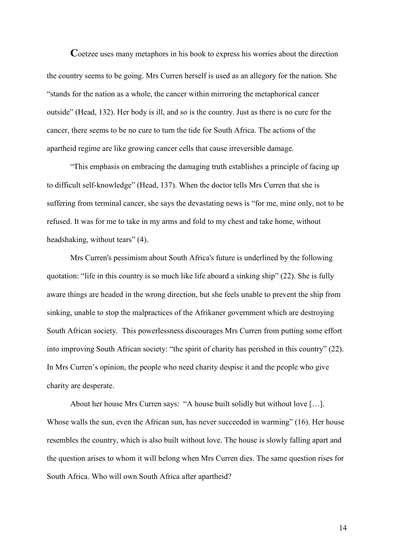Coetzee uses many metaphors in his book to express his worries about the direction the country seems to be going. Mrs Curren herself is used as an allegory for the nation. She "stands for the nation as a whole, the cancer within mirroring the metaphorical cancer outside" (Head, 132). Her body is ill, and so is the country. Just as there is no cure for the cancer, there seems to be no cure to turn the tide for South Africa. The actions of the apartheid regime are like growing cancer cells that cause irreversible damage.

 "This emphasis on embracing the damaging truth establishes a principle of facing up to difficult self-knowledge" (Head, 137). When the doctor tells Mrs Curren that she is suffering from terminal cancer, she says the devastating news is "for me, mine only, not to be refused. It was for me to take in my arms and fold to my chest and take home, without headshaking, without tears" (4).

Mrs Curren's pessimism about South Africa's future is underlined by the following quotation: "life in this country is so much like life aboard a sinking ship" (22). She is fully aware things are headed in the wrong direction, but she feels unable to prevent the ship from sinking, unable to stop the malpractices of the Afrikaner government which are destroying South African society. This powerlessness discourages Mrs Curren from putting some effort into improving South African society: "the spirit of charity has perished in this country" (22). In Mrs Curren's opinion, the people who need charity despise it and the people who give charity are desperate.

About her house Mrs Curren says: "A house built solidly but without love […]. Whose walls the sun, even the African sun, has never succeeded in warming" (16). Her house resembles the country, which is also built without love. The house is slowly falling apart and the question arises to whom it will belong when Mrs Curren dies. The same question rises for South Africa. Who will own South Africa after apartheid?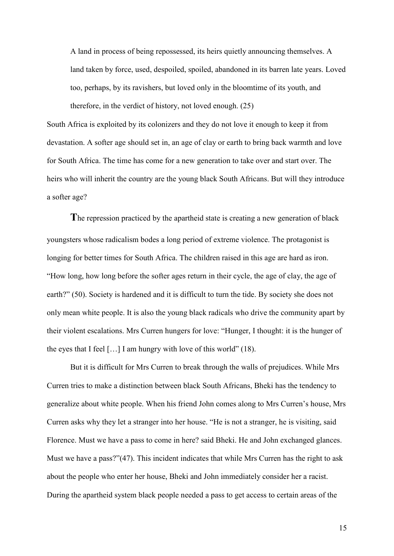A land in process of being repossessed, its heirs quietly announcing themselves. A land taken by force, used, despoiled, spoiled, abandoned in its barren late years. Loved too, perhaps, by its ravishers, but loved only in the bloomtime of its youth, and therefore, in the verdict of history, not loved enough. (25)

South Africa is exploited by its colonizers and they do not love it enough to keep it from devastation. A softer age should set in, an age of clay or earth to bring back warmth and love for South Africa. The time has come for a new generation to take over and start over. The heirs who will inherit the country are the young black South Africans. But will they introduce a softer age?

**T**he repression practiced by the apartheid state is creating a new generation of black youngsters whose radicalism bodes a long period of extreme violence. The protagonist is longing for better times for South Africa. The children raised in this age are hard as iron. "How long, how long before the softer ages return in their cycle, the age of clay, the age of earth?" (50). Society is hardened and it is difficult to turn the tide. By society she does not only mean white people. It is also the young black radicals who drive the community apart by their violent escalations. Mrs Curren hungers for love: "Hunger, I thought: it is the hunger of the eyes that I feel  $[...]$  I am hungry with love of this world" (18).

But it is difficult for Mrs Curren to break through the walls of prejudices. While Mrs Curren tries to make a distinction between black South Africans, Bheki has the tendency to generalize about white people. When his friend John comes along to Mrs Curren's house, Mrs Curren asks why they let a stranger into her house. "He is not a stranger, he is visiting, said Florence. Must we have a pass to come in here? said Bheki. He and John exchanged glances. Must we have a pass?"(47). This incident indicates that while Mrs Curren has the right to ask about the people who enter her house, Bheki and John immediately consider her a racist. During the apartheid system black people needed a pass to get access to certain areas of the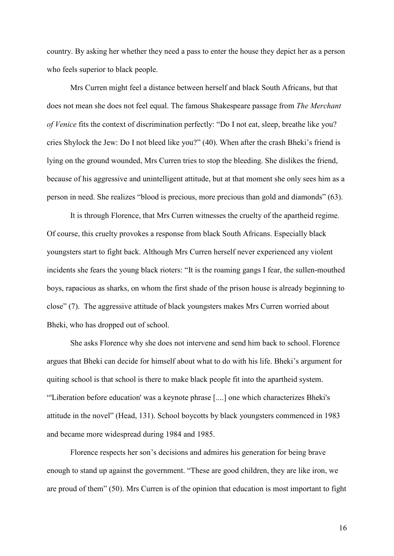country. By asking her whether they need a pass to enter the house they depict her as a person who feels superior to black people.

Mrs Curren might feel a distance between herself and black South Africans, but that does not mean she does not feel equal. The famous Shakespeare passage from *The Merchant of Venice* fits the context of discrimination perfectly: "Do I not eat, sleep, breathe like you? cries Shylock the Jew: Do I not bleed like you?" (40). When after the crash Bheki's friend is lying on the ground wounded, Mrs Curren tries to stop the bleeding. She dislikes the friend, because of his aggressive and unintelligent attitude, but at that moment she only sees him as a person in need. She realizes "blood is precious, more precious than gold and diamonds" (63).

It is through Florence, that Mrs Curren witnesses the cruelty of the apartheid regime. Of course, this cruelty provokes a response from black South Africans. Especially black youngsters start to fight back. Although Mrs Curren herself never experienced any violent incidents she fears the young black rioters: "It is the roaming gangs I fear, the sullen-mouthed boys, rapacious as sharks, on whom the first shade of the prison house is already beginning to close" (7). The aggressive attitude of black youngsters makes Mrs Curren worried about Bheki, who has dropped out of school.

 She asks Florence why she does not intervene and send him back to school. Florence argues that Bheki can decide for himself about what to do with his life. Bheki's argument for quiting school is that school is there to make black people fit into the apartheid system. "'Liberation before education' was a keynote phrase [....] one which characterizes Bheki's attitude in the novel" (Head, 131). School boycotts by black youngsters commenced in 1983 and became more widespread during 1984 and 1985.

Florence respects her son's decisions and admires his generation for being brave enough to stand up against the government. "These are good children, they are like iron, we are proud of them" (50). Mrs Curren is of the opinion that education is most important to fight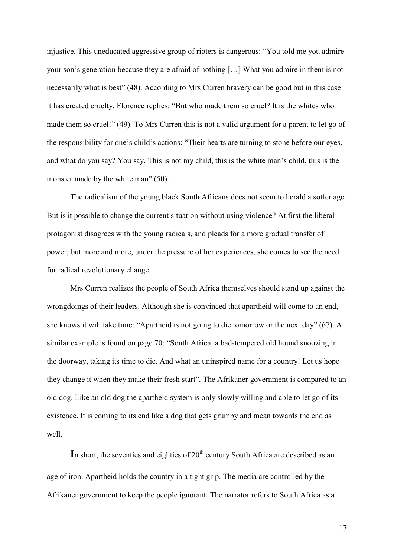injustice. This uneducated aggressive group of rioters is dangerous: "You told me you admire your son's generation because they are afraid of nothing […] What you admire in them is not necessarily what is best" (48). According to Mrs Curren bravery can be good but in this case it has created cruelty. Florence replies: "But who made them so cruel? It is the whites who made them so cruel!" (49). To Mrs Curren this is not a valid argument for a parent to let go of the responsibility for one's child's actions: "Their hearts are turning to stone before our eyes, and what do you say? You say, This is not my child, this is the white man's child, this is the monster made by the white man" (50).

The radicalism of the young black South Africans does not seem to herald a softer age. But is it possible to change the current situation without using violence? At first the liberal protagonist disagrees with the young radicals, and pleads for a more gradual transfer of power; but more and more, under the pressure of her experiences, she comes to see the need for radical revolutionary change.

Mrs Curren realizes the people of South Africa themselves should stand up against the wrongdoings of their leaders. Although she is convinced that apartheid will come to an end, she knows it will take time: "Apartheid is not going to die tomorrow or the next day" (67). A similar example is found on page 70: "South Africa: a bad-tempered old hound snoozing in the doorway, taking its time to die. And what an uninspired name for a country! Let us hope they change it when they make their fresh start". The Afrikaner government is compared to an old dog. Like an old dog the apartheid system is only slowly willing and able to let go of its existence. It is coming to its end like a dog that gets grumpy and mean towards the end as well.

In short, the seventies and eighties of  $20<sup>th</sup>$  century South Africa are described as an age of iron. Apartheid holds the country in a tight grip. The media are controlled by the Afrikaner government to keep the people ignorant. The narrator refers to South Africa as a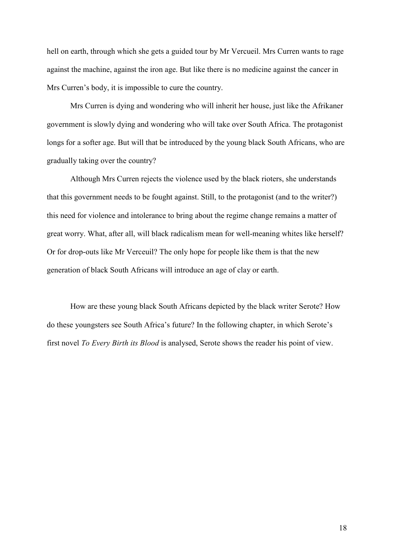hell on earth, through which she gets a guided tour by Mr Vercueil. Mrs Curren wants to rage against the machine, against the iron age. But like there is no medicine against the cancer in Mrs Curren's body, it is impossible to cure the country.

Mrs Curren is dying and wondering who will inherit her house, just like the Afrikaner government is slowly dying and wondering who will take over South Africa. The protagonist longs for a softer age. But will that be introduced by the young black South Africans, who are gradually taking over the country?

Although Mrs Curren rejects the violence used by the black rioters, she understands that this government needs to be fought against. Still, to the protagonist (and to the writer?) this need for violence and intolerance to bring about the regime change remains a matter of great worry. What, after all, will black radicalism mean for well-meaning whites like herself? Or for drop-outs like Mr Verceuil? The only hope for people like them is that the new generation of black South Africans will introduce an age of clay or earth.

How are these young black South Africans depicted by the black writer Serote? How do these youngsters see South Africa's future? In the following chapter, in which Serote's first novel *To Every Birth its Blood* is analysed, Serote shows the reader his point of view.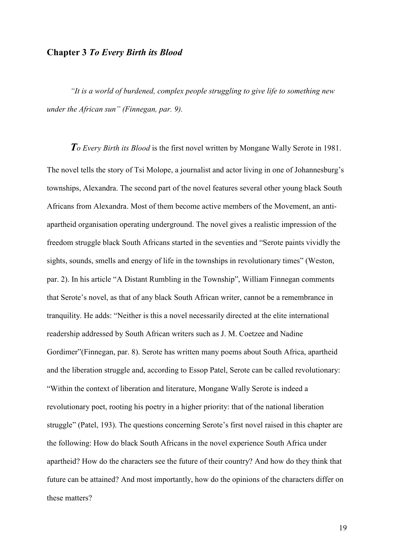## **Chapter 3** *To Every Birth its Blood*

*"It is a world of burdened, complex people struggling to give life to something new under the African sun" (Finnegan, par. 9).* 

*To Every Birth its Blood* is the first novel written by Mongane Wally Serote in 1981. The novel tells the story of Tsi Molope, a journalist and actor living in one of Johannesburg's townships, Alexandra. The second part of the novel features several other young black South Africans from Alexandra. Most of them become active members of the Movement, an antiapartheid organisation operating underground. The novel gives a realistic impression of the freedom struggle black South Africans started in the seventies and "Serote paints vividly the sights, sounds, smells and energy of life in the townships in revolutionary times" (Weston, par. 2). In his article "A Distant Rumbling in the Township", William Finnegan comments that Serote's novel, as that of any black South African writer, cannot be a remembrance in tranquility. He adds: "Neither is this a novel necessarily directed at the elite international readership addressed by South African writers such as J. M. Coetzee and Nadine Gordimer"(Finnegan, par. 8). Serote has written many poems about South Africa, apartheid and the liberation struggle and, according to Essop Patel, Serote can be called revolutionary: "Within the context of liberation and literature, Mongane Wally Serote is indeed a revolutionary poet, rooting his poetry in a higher priority: that of the national liberation struggle" (Patel, 193). The questions concerning Serote's first novel raised in this chapter are the following: How do black South Africans in the novel experience South Africa under apartheid? How do the characters see the future of their country? And how do they think that future can be attained? And most importantly, how do the opinions of the characters differ on these matters?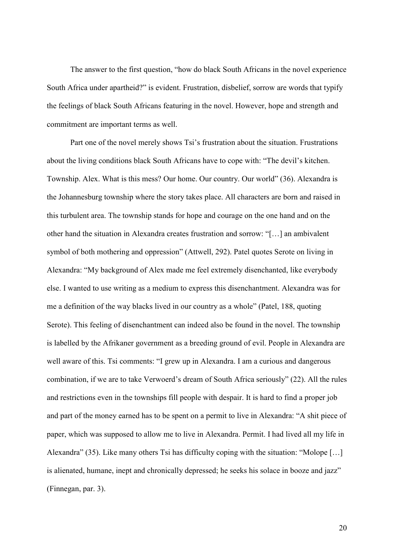The answer to the first question, "how do black South Africans in the novel experience South Africa under apartheid?" is evident. Frustration, disbelief, sorrow are words that typify the feelings of black South Africans featuring in the novel. However, hope and strength and commitment are important terms as well.

Part one of the novel merely shows Tsi's frustration about the situation. Frustrations about the living conditions black South Africans have to cope with: "The devil's kitchen. Township. Alex. What is this mess? Our home. Our country. Our world" (36). Alexandra is the Johannesburg township where the story takes place. All characters are born and raised in this turbulent area. The township stands for hope and courage on the one hand and on the other hand the situation in Alexandra creates frustration and sorrow: "[…] an ambivalent symbol of both mothering and oppression" (Attwell, 292). Patel quotes Serote on living in Alexandra: "My background of Alex made me feel extremely disenchanted, like everybody else. I wanted to use writing as a medium to express this disenchantment. Alexandra was for me a definition of the way blacks lived in our country as a whole" (Patel, 188, quoting Serote). This feeling of disenchantment can indeed also be found in the novel. The township is labelled by the Afrikaner government as a breeding ground of evil. People in Alexandra are well aware of this. Tsi comments: "I grew up in Alexandra. I am a curious and dangerous combination, if we are to take Verwoerd's dream of South Africa seriously" (22). All the rules and restrictions even in the townships fill people with despair. It is hard to find a proper job and part of the money earned has to be spent on a permit to live in Alexandra: "A shit piece of paper, which was supposed to allow me to live in Alexandra. Permit. I had lived all my life in Alexandra" (35). Like many others Tsi has difficulty coping with the situation: "Molope […] is alienated, humane, inept and chronically depressed; he seeks his solace in booze and jazz" (Finnegan, par. 3).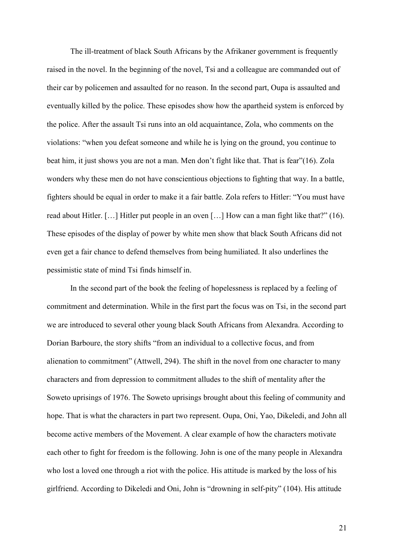The ill-treatment of black South Africans by the Afrikaner government is frequently raised in the novel. In the beginning of the novel, Tsi and a colleague are commanded out of their car by policemen and assaulted for no reason. In the second part, Oupa is assaulted and eventually killed by the police. These episodes show how the apartheid system is enforced by the police. After the assault Tsi runs into an old acquaintance, Zola, who comments on the violations: "when you defeat someone and while he is lying on the ground, you continue to beat him, it just shows you are not a man. Men don't fight like that. That is fear"(16). Zola wonders why these men do not have conscientious objections to fighting that way. In a battle, fighters should be equal in order to make it a fair battle. Zola refers to Hitler: "You must have read about Hitler. […] Hitler put people in an oven […] How can a man fight like that?" (16). These episodes of the display of power by white men show that black South Africans did not even get a fair chance to defend themselves from being humiliated. It also underlines the pessimistic state of mind Tsi finds himself in.

In the second part of the book the feeling of hopelessness is replaced by a feeling of commitment and determination. While in the first part the focus was on Tsi, in the second part we are introduced to several other young black South Africans from Alexandra. According to Dorian Barboure, the story shifts "from an individual to a collective focus, and from alienation to commitment" (Attwell, 294). The shift in the novel from one character to many characters and from depression to commitment alludes to the shift of mentality after the Soweto uprisings of 1976. The Soweto uprisings brought about this feeling of community and hope. That is what the characters in part two represent. Oupa, Oni, Yao, Dikeledi, and John all become active members of the Movement. A clear example of how the characters motivate each other to fight for freedom is the following. John is one of the many people in Alexandra who lost a loved one through a riot with the police. His attitude is marked by the loss of his girlfriend. According to Dikeledi and Oni, John is "drowning in self-pity" (104). His attitude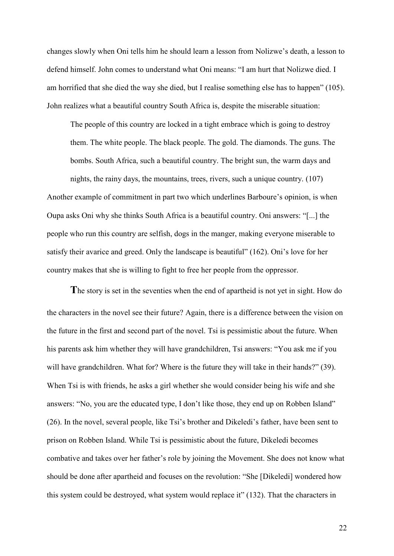changes slowly when Oni tells him he should learn a lesson from Nolizwe's death, a lesson to defend himself. John comes to understand what Oni means: "I am hurt that Nolizwe died. I am horrified that she died the way she died, but I realise something else has to happen" (105). John realizes what a beautiful country South Africa is, despite the miserable situation:

The people of this country are locked in a tight embrace which is going to destroy them. The white people. The black people. The gold. The diamonds. The guns. The bombs. South Africa, such a beautiful country. The bright sun, the warm days and nights, the rainy days, the mountains, trees, rivers, such a unique country. (107) Another example of commitment in part two which underlines Barboure's opinion, is when Oupa asks Oni why she thinks South Africa is a beautiful country. Oni answers: "[...] the people who run this country are selfish, dogs in the manger, making everyone miserable to satisfy their avarice and greed. Only the landscape is beautiful" (162). Oni's love for her country makes that she is willing to fight to free her people from the oppressor.

**T**he story is set in the seventies when the end of apartheid is not yet in sight. How do the characters in the novel see their future? Again, there is a difference between the vision on the future in the first and second part of the novel. Tsi is pessimistic about the future. When his parents ask him whether they will have grandchildren, Tsi answers: "You ask me if you will have grandchildren. What for? Where is the future they will take in their hands?" (39). When Tsi is with friends, he asks a girl whether she would consider being his wife and she answers: "No, you are the educated type, I don't like those, they end up on Robben Island" (26). In the novel, several people, like Tsi's brother and Dikeledi's father, have been sent to prison on Robben Island. While Tsi is pessimistic about the future, Dikeledi becomes combative and takes over her father's role by joining the Movement. She does not know what should be done after apartheid and focuses on the revolution: "She [Dikeledi] wondered how this system could be destroyed, what system would replace it" (132). That the characters in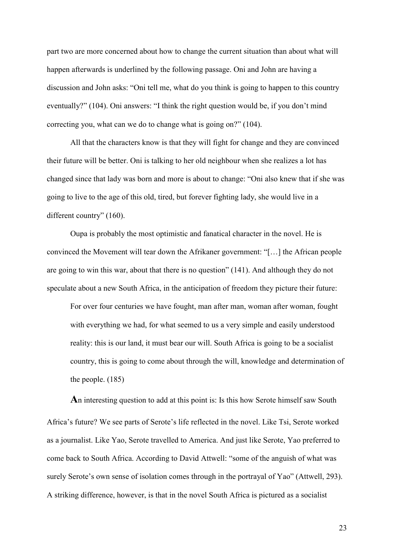part two are more concerned about how to change the current situation than about what will happen afterwards is underlined by the following passage. Oni and John are having a discussion and John asks: "Oni tell me, what do you think is going to happen to this country eventually?" (104). Oni answers: "I think the right question would be, if you don't mind correcting you, what can we do to change what is going on?" (104).

All that the characters know is that they will fight for change and they are convinced their future will be better. Oni is talking to her old neighbour when she realizes a lot has changed since that lady was born and more is about to change: "Oni also knew that if she was going to live to the age of this old, tired, but forever fighting lady, she would live in a different country" (160).

Oupa is probably the most optimistic and fanatical character in the novel. He is convinced the Movement will tear down the Afrikaner government: "[…] the African people are going to win this war, about that there is no question" (141). And although they do not speculate about a new South Africa, in the anticipation of freedom they picture their future:

For over four centuries we have fought, man after man, woman after woman, fought with everything we had, for what seemed to us a very simple and easily understood reality: this is our land, it must bear our will. South Africa is going to be a socialist country, this is going to come about through the will, knowledge and determination of the people. (185)

**A**n interesting question to add at this point is: Is this how Serote himself saw South Africa's future? We see parts of Serote's life reflected in the novel. Like Tsi, Serote worked as a journalist. Like Yao, Serote travelled to America. And just like Serote, Yao preferred to come back to South Africa. According to David Attwell: "some of the anguish of what was surely Serote's own sense of isolation comes through in the portrayal of Yao" (Attwell, 293). A striking difference, however, is that in the novel South Africa is pictured as a socialist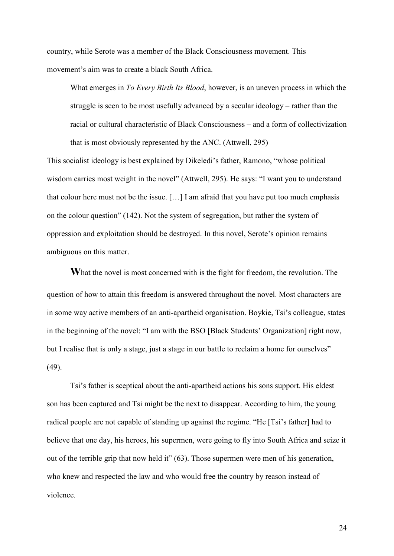country, while Serote was a member of the Black Consciousness movement. This movement's aim was to create a black South Africa.

What emerges in *To Every Birth Its Blood*, however, is an uneven process in which the struggle is seen to be most usefully advanced by a secular ideology – rather than the racial or cultural characteristic of Black Consciousness – and a form of collectivization that is most obviously represented by the ANC. (Attwell, 295)

This socialist ideology is best explained by Dikeledi's father, Ramono, "whose political wisdom carries most weight in the novel" (Attwell, 295). He says: "I want you to understand that colour here must not be the issue. […] I am afraid that you have put too much emphasis on the colour question" (142). Not the system of segregation, but rather the system of oppression and exploitation should be destroyed. In this novel, Serote's opinion remains ambiguous on this matter.

**W**hat the novel is most concerned with is the fight for freedom, the revolution. The question of how to attain this freedom is answered throughout the novel. Most characters are in some way active members of an anti-apartheid organisation. Boykie, Tsi's colleague, states in the beginning of the novel: "I am with the BSO [Black Students' Organization] right now, but I realise that is only a stage, just a stage in our battle to reclaim a home for ourselves" (49).

Tsi's father is sceptical about the anti-apartheid actions his sons support. His eldest son has been captured and Tsi might be the next to disappear. According to him, the young radical people are not capable of standing up against the regime. "He [Tsi's father] had to believe that one day, his heroes, his supermen, were going to fly into South Africa and seize it out of the terrible grip that now held it" (63). Those supermen were men of his generation, who knew and respected the law and who would free the country by reason instead of violence.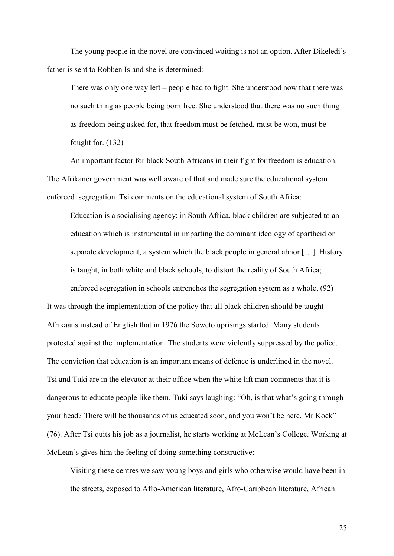The young people in the novel are convinced waiting is not an option. After Dikeledi's father is sent to Robben Island she is determined:

There was only one way left – people had to fight. She understood now that there was no such thing as people being born free. She understood that there was no such thing as freedom being asked for, that freedom must be fetched, must be won, must be fought for. (132)

An important factor for black South Africans in their fight for freedom is education. The Afrikaner government was well aware of that and made sure the educational system enforced segregation. Tsi comments on the educational system of South Africa:

Education is a socialising agency: in South Africa, black children are subjected to an education which is instrumental in imparting the dominant ideology of apartheid or separate development, a system which the black people in general abhor […]. History is taught, in both white and black schools, to distort the reality of South Africa; enforced segregation in schools entrenches the segregation system as a whole. (92)

It was through the implementation of the policy that all black children should be taught Afrikaans instead of English that in 1976 the Soweto uprisings started. Many students protested against the implementation. The students were violently suppressed by the police. The conviction that education is an important means of defence is underlined in the novel. Tsi and Tuki are in the elevator at their office when the white lift man comments that it is dangerous to educate people like them. Tuki says laughing: "Oh, is that what's going through your head? There will be thousands of us educated soon, and you won't be here, Mr Koek" (76). After Tsi quits his job as a journalist, he starts working at McLean's College. Working at McLean's gives him the feeling of doing something constructive:

Visiting these centres we saw young boys and girls who otherwise would have been in the streets, exposed to Afro-American literature, Afro-Caribbean literature, African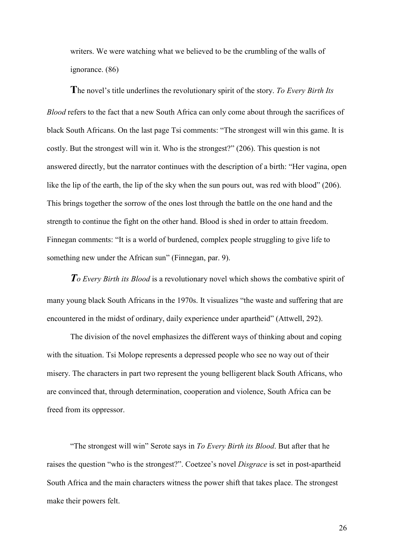writers. We were watching what we believed to be the crumbling of the walls of ignorance. (86)

**T**he novel's title underlines the revolutionary spirit of the story. *To Every Birth Its Blood* refers to the fact that a new South Africa can only come about through the sacrifices of black South Africans. On the last page Tsi comments: "The strongest will win this game. It is costly. But the strongest will win it. Who is the strongest?" (206). This question is not answered directly, but the narrator continues with the description of a birth: "Her vagina, open like the lip of the earth, the lip of the sky when the sun pours out, was red with blood" (206). This brings together the sorrow of the ones lost through the battle on the one hand and the strength to continue the fight on the other hand. Blood is shed in order to attain freedom. Finnegan comments: "It is a world of burdened, complex people struggling to give life to something new under the African sun" (Finnegan, par. 9).

*To Every Birth its Blood* is a revolutionary novel which shows the combative spirit of many young black South Africans in the 1970s. It visualizes "the waste and suffering that are encountered in the midst of ordinary, daily experience under apartheid" (Attwell, 292).

The division of the novel emphasizes the different ways of thinking about and coping with the situation. Tsi Molope represents a depressed people who see no way out of their misery. The characters in part two represent the young belligerent black South Africans, who are convinced that, through determination, cooperation and violence, South Africa can be freed from its oppressor.

"The strongest will win" Serote says in *To Every Birth its Blood*. But after that he raises the question "who is the strongest?". Coetzee's novel *Disgrace* is set in post-apartheid South Africa and the main characters witness the power shift that takes place. The strongest make their powers felt.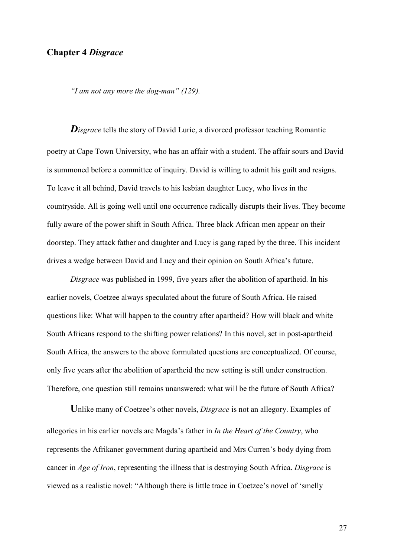#### **Chapter 4** *Disgrace*

*"I am not any more the dog-man" (129).* 

*Disgrace* tells the story of David Lurie, a divorced professor teaching Romantic poetry at Cape Town University, who has an affair with a student. The affair sours and David is summoned before a committee of inquiry. David is willing to admit his guilt and resigns. To leave it all behind, David travels to his lesbian daughter Lucy, who lives in the countryside. All is going well until one occurrence radically disrupts their lives. They become fully aware of the power shift in South Africa. Three black African men appear on their doorstep. They attack father and daughter and Lucy is gang raped by the three. This incident drives a wedge between David and Lucy and their opinion on South Africa's future.

*Disgrace* was published in 1999, five years after the abolition of apartheid. In his earlier novels, Coetzee always speculated about the future of South Africa. He raised questions like: What will happen to the country after apartheid? How will black and white South Africans respond to the shifting power relations? In this novel, set in post-apartheid South Africa, the answers to the above formulated questions are conceptualized. Of course, only five years after the abolition of apartheid the new setting is still under construction. Therefore, one question still remains unanswered: what will be the future of South Africa?

**U**nlike many of Coetzee's other novels, *Disgrace* is not an allegory. Examples of allegories in his earlier novels are Magda's father in *In the Heart of the Country*, who represents the Afrikaner government during apartheid and Mrs Curren's body dying from cancer in *Age of Iron*, representing the illness that is destroying South Africa. *Disgrace* is viewed as a realistic novel: "Although there is little trace in Coetzee's novel of 'smelly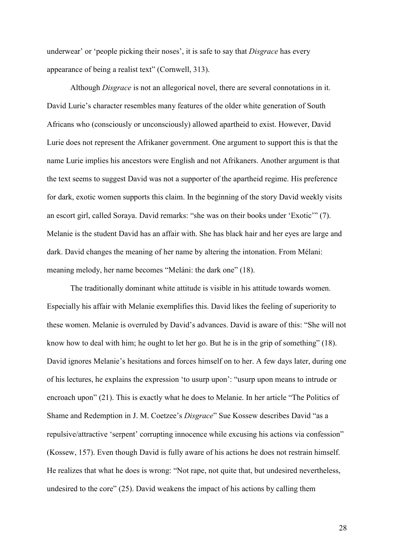underwear' or 'people picking their noses', it is safe to say that *Disgrace* has every appearance of being a realist text" (Cornwell, 313).

Although *Disgrace* is not an allegorical novel, there are several connotations in it. David Lurie's character resembles many features of the older white generation of South Africans who (consciously or unconsciously) allowed apartheid to exist. However, David Lurie does not represent the Afrikaner government. One argument to support this is that the name Lurie implies his ancestors were English and not Afrikaners. Another argument is that the text seems to suggest David was not a supporter of the apartheid regime. His preference for dark, exotic women supports this claim. In the beginning of the story David weekly visits an escort girl, called Soraya. David remarks: "she was on their books under 'Exotic'" (7). Melanie is the student David has an affair with. She has black hair and her eyes are large and dark. David changes the meaning of her name by altering the intonation. From Mélani: meaning melody, her name becomes "Meláni: the dark one" (18).

The traditionally dominant white attitude is visible in his attitude towards women. Especially his affair with Melanie exemplifies this. David likes the feeling of superiority to these women. Melanie is overruled by David's advances. David is aware of this: "She will not know how to deal with him; he ought to let her go. But he is in the grip of something" (18). David ignores Melanie's hesitations and forces himself on to her. A few days later, during one of his lectures, he explains the expression 'to usurp upon': "usurp upon means to intrude or encroach upon" (21). This is exactly what he does to Melanie. In her article "The Politics of Shame and Redemption in J. M. Coetzee's *Disgrace*" Sue Kossew describes David "as a repulsive/attractive 'serpent' corrupting innocence while excusing his actions via confession" (Kossew, 157). Even though David is fully aware of his actions he does not restrain himself. He realizes that what he does is wrong: "Not rape, not quite that, but undesired nevertheless, undesired to the core" (25). David weakens the impact of his actions by calling them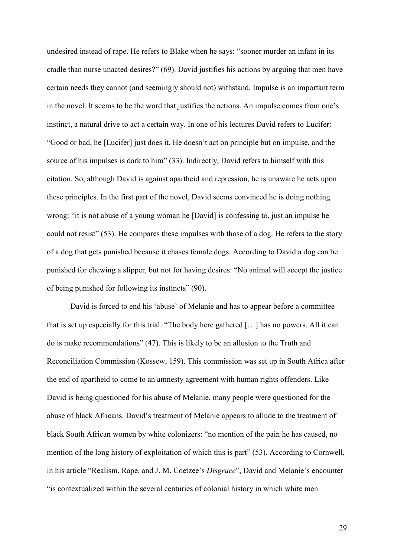undesired instead of rape. He refers to Blake when he says: "sooner murder an infant in its cradle than nurse unacted desires?" (69). David justifies his actions by arguing that men have certain needs they cannot (and seemingly should not) withstand. Impulse is an important term in the novel. It seems to be the word that justifies the actions. An impulse comes from one's instinct, a natural drive to act a certain way. In one of his lectures David refers to Lucifer: "Good or bad, he [Lucifer] just does it. He doesn't act on principle but on impulse, and the source of his impulses is dark to him" (33). Indirectly, David refers to himself with this citation. So, although David is against apartheid and repression, he is unaware he acts upon these principles. In the first part of the novel, David seems convinced he is doing nothing wrong: "it is not abuse of a young woman he [David] is confessing to, just an impulse he could not resist" (53). He compares these impulses with those of a dog. He refers to the story of a dog that gets punished because it chases female dogs. According to David a dog can be punished for chewing a slipper, but not for having desires: "No animal will accept the justice of being punished for following its instincts" (90).

David is forced to end his 'abuse' of Melanie and has to appear before a committee that is set up especially for this trial: "The body here gathered […] has no powers. All it can do is make recommendations" (47). This is likely to be an allusion to the Truth and Reconciliation Commission (Kossew, 159). This commission was set up in South Africa after the end of apartheid to come to an amnesty agreement with human rights offenders. Like David is being questioned for his abuse of Melanie, many people were questioned for the abuse of black Africans. David's treatment of Melanie appears to allude to the treatment of black South African women by white colonizers: "no mention of the pain he has caused, no mention of the long history of exploitation of which this is part" (53). According to Cornwell, in his article "Realism, Rape, and J. M. Coetzee's *Disgrace*", David and Melanie's encounter "is contextualized within the several centuries of colonial history in which white men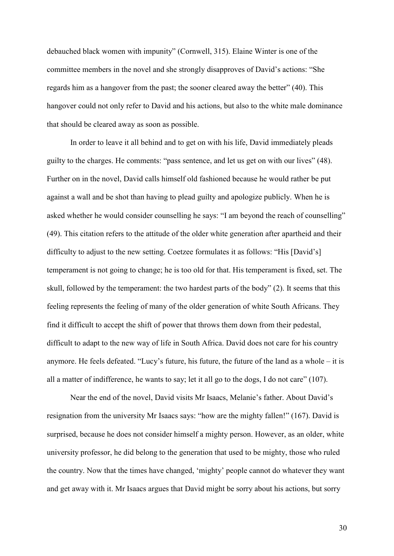debauched black women with impunity" (Cornwell, 315). Elaine Winter is one of the committee members in the novel and she strongly disapproves of David's actions: "She regards him as a hangover from the past; the sooner cleared away the better" (40). This hangover could not only refer to David and his actions, but also to the white male dominance that should be cleared away as soon as possible.

In order to leave it all behind and to get on with his life, David immediately pleads guilty to the charges. He comments: "pass sentence, and let us get on with our lives" (48). Further on in the novel, David calls himself old fashioned because he would rather be put against a wall and be shot than having to plead guilty and apologize publicly. When he is asked whether he would consider counselling he says: "I am beyond the reach of counselling" (49). This citation refers to the attitude of the older white generation after apartheid and their difficulty to adjust to the new setting. Coetzee formulates it as follows: "His [David's] temperament is not going to change; he is too old for that. His temperament is fixed, set. The skull, followed by the temperament: the two hardest parts of the body" (2). It seems that this feeling represents the feeling of many of the older generation of white South Africans. They find it difficult to accept the shift of power that throws them down from their pedestal, difficult to adapt to the new way of life in South Africa. David does not care for his country anymore. He feels defeated. "Lucy's future, his future, the future of the land as a whole – it is all a matter of indifference, he wants to say; let it all go to the dogs, I do not care" (107).

Near the end of the novel, David visits Mr Isaacs, Melanie's father. About David's resignation from the university Mr Isaacs says: "how are the mighty fallen!" (167). David is surprised, because he does not consider himself a mighty person. However, as an older, white university professor, he did belong to the generation that used to be mighty, those who ruled the country. Now that the times have changed, 'mighty' people cannot do whatever they want and get away with it. Mr Isaacs argues that David might be sorry about his actions, but sorry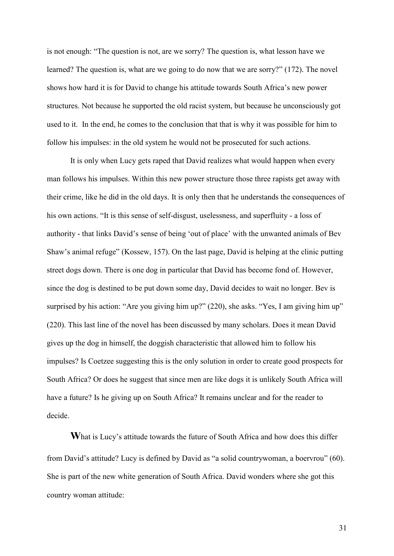is not enough: "The question is not, are we sorry? The question is, what lesson have we learned? The question is, what are we going to do now that we are sorry?" (172). The novel shows how hard it is for David to change his attitude towards South Africa's new power structures. Not because he supported the old racist system, but because he unconsciously got used to it. In the end, he comes to the conclusion that that is why it was possible for him to follow his impulses: in the old system he would not be prosecuted for such actions.

It is only when Lucy gets raped that David realizes what would happen when every man follows his impulses. Within this new power structure those three rapists get away with their crime, like he did in the old days. It is only then that he understands the consequences of his own actions. "It is this sense of self-disgust, uselessness, and superfluity - a loss of authority - that links David's sense of being 'out of place' with the unwanted animals of Bev Shaw's animal refuge" (Kossew, 157). On the last page, David is helping at the clinic putting street dogs down. There is one dog in particular that David has become fond of. However, since the dog is destined to be put down some day, David decides to wait no longer. Bev is surprised by his action: "Are you giving him up?" (220), she asks. "Yes, I am giving him up" (220). This last line of the novel has been discussed by many scholars. Does it mean David gives up the dog in himself, the doggish characteristic that allowed him to follow his impulses? Is Coetzee suggesting this is the only solution in order to create good prospects for South Africa? Or does he suggest that since men are like dogs it is unlikely South Africa will have a future? Is he giving up on South Africa? It remains unclear and for the reader to decide.

**W**hat is Lucy's attitude towards the future of South Africa and how does this differ from David's attitude? Lucy is defined by David as "a solid countrywoman, a boervrou" (60). She is part of the new white generation of South Africa. David wonders where she got this country woman attitude: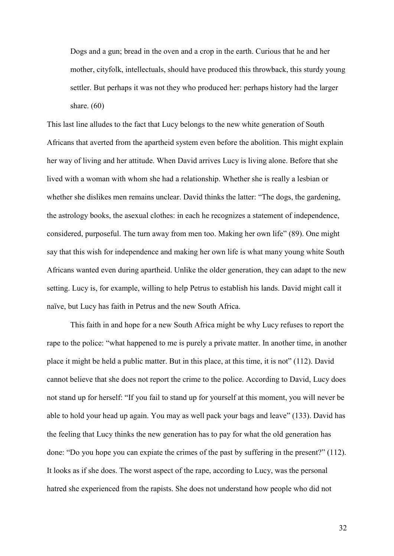Dogs and a gun; bread in the oven and a crop in the earth. Curious that he and her mother, cityfolk, intellectuals, should have produced this throwback, this sturdy young settler. But perhaps it was not they who produced her: perhaps history had the larger share. (60)

This last line alludes to the fact that Lucy belongs to the new white generation of South Africans that averted from the apartheid system even before the abolition. This might explain her way of living and her attitude. When David arrives Lucy is living alone. Before that she lived with a woman with whom she had a relationship. Whether she is really a lesbian or whether she dislikes men remains unclear. David thinks the latter: "The dogs, the gardening, the astrology books, the asexual clothes: in each he recognizes a statement of independence, considered, purposeful. The turn away from men too. Making her own life" (89). One might say that this wish for independence and making her own life is what many young white South Africans wanted even during apartheid. Unlike the older generation, they can adapt to the new setting. Lucy is, for example, willing to help Petrus to establish his lands. David might call it naïve, but Lucy has faith in Petrus and the new South Africa.

This faith in and hope for a new South Africa might be why Lucy refuses to report the rape to the police: "what happened to me is purely a private matter. In another time, in another place it might be held a public matter. But in this place, at this time, it is not" (112). David cannot believe that she does not report the crime to the police. According to David, Lucy does not stand up for herself: "If you fail to stand up for yourself at this moment, you will never be able to hold your head up again. You may as well pack your bags and leave" (133). David has the feeling that Lucy thinks the new generation has to pay for what the old generation has done: "Do you hope you can expiate the crimes of the past by suffering in the present?" (112). It looks as if she does. The worst aspect of the rape, according to Lucy, was the personal hatred she experienced from the rapists. She does not understand how people who did not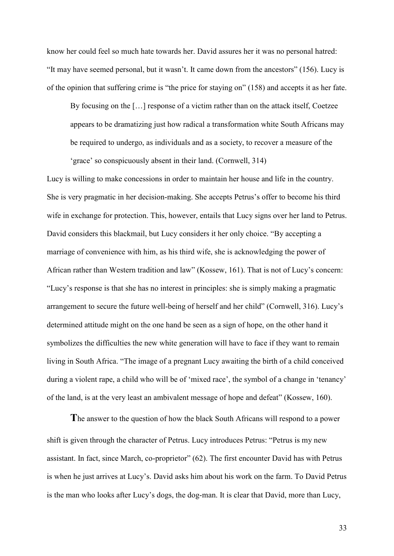know her could feel so much hate towards her. David assures her it was no personal hatred: "It may have seemed personal, but it wasn't. It came down from the ancestors" (156). Lucy is of the opinion that suffering crime is "the price for staying on" (158) and accepts it as her fate.

By focusing on the […] response of a victim rather than on the attack itself, Coetzee appears to be dramatizing just how radical a transformation white South Africans may be required to undergo, as individuals and as a society, to recover a measure of the 'grace' so conspicuously absent in their land. (Cornwell, 314)

Lucy is willing to make concessions in order to maintain her house and life in the country. She is very pragmatic in her decision-making. She accepts Petrus's offer to become his third wife in exchange for protection. This, however, entails that Lucy signs over her land to Petrus. David considers this blackmail, but Lucy considers it her only choice. "By accepting a marriage of convenience with him, as his third wife, she is acknowledging the power of African rather than Western tradition and law" (Kossew, 161). That is not of Lucy's concern: "Lucy's response is that she has no interest in principles: she is simply making a pragmatic arrangement to secure the future well-being of herself and her child" (Cornwell, 316). Lucy's determined attitude might on the one hand be seen as a sign of hope, on the other hand it symbolizes the difficulties the new white generation will have to face if they want to remain living in South Africa. "The image of a pregnant Lucy awaiting the birth of a child conceived during a violent rape, a child who will be of 'mixed race', the symbol of a change in 'tenancy' of the land, is at the very least an ambivalent message of hope and defeat" (Kossew, 160).

**T**he answer to the question of how the black South Africans will respond to a power shift is given through the character of Petrus. Lucy introduces Petrus: "Petrus is my new assistant. In fact, since March, co-proprietor" (62). The first encounter David has with Petrus is when he just arrives at Lucy's. David asks him about his work on the farm. To David Petrus is the man who looks after Lucy's dogs, the dog-man. It is clear that David, more than Lucy,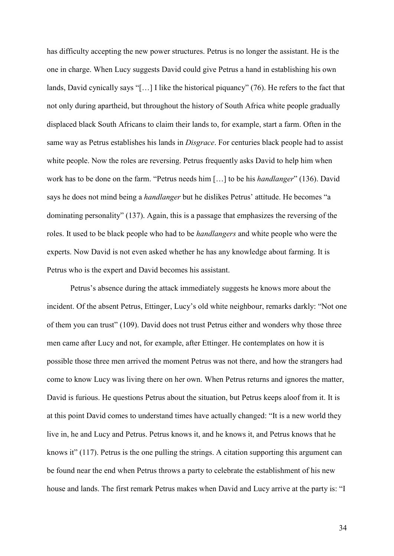has difficulty accepting the new power structures. Petrus is no longer the assistant. He is the one in charge. When Lucy suggests David could give Petrus a hand in establishing his own lands, David cynically says "[…] I like the historical piquancy" (76). He refers to the fact that not only during apartheid, but throughout the history of South Africa white people gradually displaced black South Africans to claim their lands to, for example, start a farm. Often in the same way as Petrus establishes his lands in *Disgrace*. For centuries black people had to assist white people. Now the roles are reversing. Petrus frequently asks David to help him when work has to be done on the farm. "Petrus needs him […] to be his *handlanger*" (136). David says he does not mind being a *handlanger* but he dislikes Petrus' attitude. He becomes "a dominating personality" (137). Again, this is a passage that emphasizes the reversing of the roles. It used to be black people who had to be *handlangers* and white people who were the experts. Now David is not even asked whether he has any knowledge about farming. It is Petrus who is the expert and David becomes his assistant.

Petrus's absence during the attack immediately suggests he knows more about the incident. Of the absent Petrus, Ettinger, Lucy's old white neighbour, remarks darkly: "Not one of them you can trust" (109). David does not trust Petrus either and wonders why those three men came after Lucy and not, for example, after Ettinger. He contemplates on how it is possible those three men arrived the moment Petrus was not there, and how the strangers had come to know Lucy was living there on her own. When Petrus returns and ignores the matter, David is furious. He questions Petrus about the situation, but Petrus keeps aloof from it. It is at this point David comes to understand times have actually changed: "It is a new world they live in, he and Lucy and Petrus. Petrus knows it, and he knows it, and Petrus knows that he knows it" (117). Petrus is the one pulling the strings. A citation supporting this argument can be found near the end when Petrus throws a party to celebrate the establishment of his new house and lands. The first remark Petrus makes when David and Lucy arrive at the party is: "I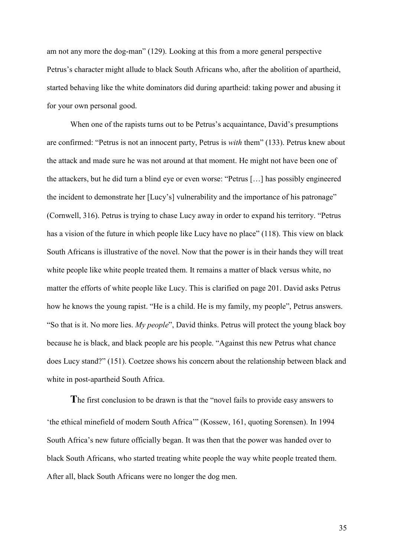am not any more the dog-man" (129). Looking at this from a more general perspective Petrus's character might allude to black South Africans who, after the abolition of apartheid, started behaving like the white dominators did during apartheid: taking power and abusing it for your own personal good.

When one of the rapists turns out to be Petrus's acquaintance, David's presumptions are confirmed: "Petrus is not an innocent party, Petrus is *with* them" (133). Petrus knew about the attack and made sure he was not around at that moment. He might not have been one of the attackers, but he did turn a blind eye or even worse: "Petrus […] has possibly engineered the incident to demonstrate her [Lucy's] vulnerability and the importance of his patronage" (Cornwell, 316). Petrus is trying to chase Lucy away in order to expand his territory. "Petrus has a vision of the future in which people like Lucy have no place" (118). This view on black South Africans is illustrative of the novel. Now that the power is in their hands they will treat white people like white people treated them. It remains a matter of black versus white, no matter the efforts of white people like Lucy. This is clarified on page 201. David asks Petrus how he knows the young rapist. "He is a child. He is my family, my people", Petrus answers. "So that is it. No more lies. *My people*", David thinks. Petrus will protect the young black boy because he is black, and black people are his people. "Against this new Petrus what chance does Lucy stand?" (151). Coetzee shows his concern about the relationship between black and white in post-apartheid South Africa.

**T**he first conclusion to be drawn is that the "novel fails to provide easy answers to 'the ethical minefield of modern South Africa'" (Kossew, 161, quoting Sorensen). In 1994 South Africa's new future officially began. It was then that the power was handed over to black South Africans, who started treating white people the way white people treated them. After all, black South Africans were no longer the dog men.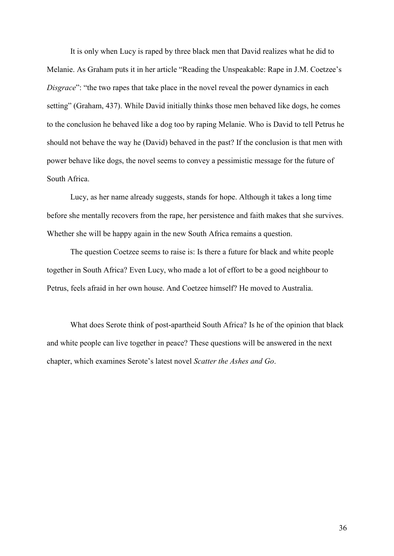It is only when Lucy is raped by three black men that David realizes what he did to Melanie. As Graham puts it in her article "Reading the Unspeakable: Rape in J.M. Coetzee's *Disgrace*": "the two rapes that take place in the novel reveal the power dynamics in each setting" (Graham, 437). While David initially thinks those men behaved like dogs, he comes to the conclusion he behaved like a dog too by raping Melanie. Who is David to tell Petrus he should not behave the way he (David) behaved in the past? If the conclusion is that men with power behave like dogs, the novel seems to convey a pessimistic message for the future of South Africa.

Lucy, as her name already suggests, stands for hope. Although it takes a long time before she mentally recovers from the rape, her persistence and faith makes that she survives. Whether she will be happy again in the new South Africa remains a question.

The question Coetzee seems to raise is: Is there a future for black and white people together in South Africa? Even Lucy, who made a lot of effort to be a good neighbour to Petrus, feels afraid in her own house. And Coetzee himself? He moved to Australia.

What does Serote think of post-apartheid South Africa? Is he of the opinion that black and white people can live together in peace? These questions will be answered in the next chapter, which examines Serote's latest novel *Scatter the Ashes and Go*.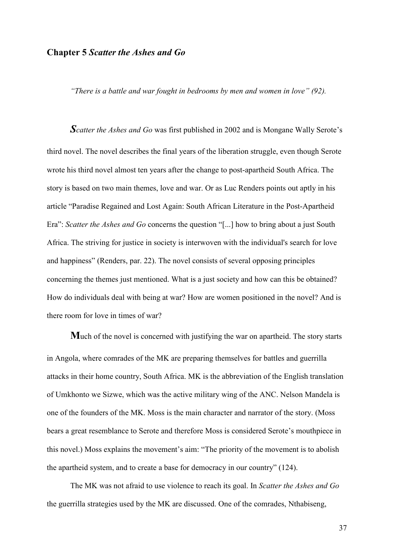#### **Chapter 5** *Scatter the Ashes and Go*

*"There is a battle and war fought in bedrooms by men and women in love" (92).* 

*Scatter the Ashes and Go* was first published in 2002 and is Mongane Wally Serote's third novel. The novel describes the final years of the liberation struggle, even though Serote wrote his third novel almost ten years after the change to post-apartheid South Africa. The story is based on two main themes, love and war. Or as Luc Renders points out aptly in his article "Paradise Regained and Lost Again: South African Literature in the Post-Apartheid Era": *Scatter the Ashes and Go* concerns the question "[...] how to bring about a just South Africa. The striving for justice in society is interwoven with the individual's search for love and happiness" (Renders, par. 22). The novel consists of several opposing principles concerning the themes just mentioned. What is a just society and how can this be obtained? How do individuals deal with being at war? How are women positioned in the novel? And is there room for love in times of war?

**M**uch of the novel is concerned with justifying the war on apartheid. The story starts in Angola, where comrades of the MK are preparing themselves for battles and guerrilla attacks in their home country, South Africa. MK is the abbreviation of the English translation of Umkhonto we Sizwe, which was the active military wing of the ANC. Nelson Mandela is one of the founders of the MK. Moss is the main character and narrator of the story. (Moss bears a great resemblance to Serote and therefore Moss is considered Serote's mouthpiece in this novel.) Moss explains the movement's aim: "The priority of the movement is to abolish the apartheid system, and to create a base for democracy in our country" (124).

The MK was not afraid to use violence to reach its goal. In *Scatter the Ashes and Go* the guerrilla strategies used by the MK are discussed. One of the comrades, Nthabiseng,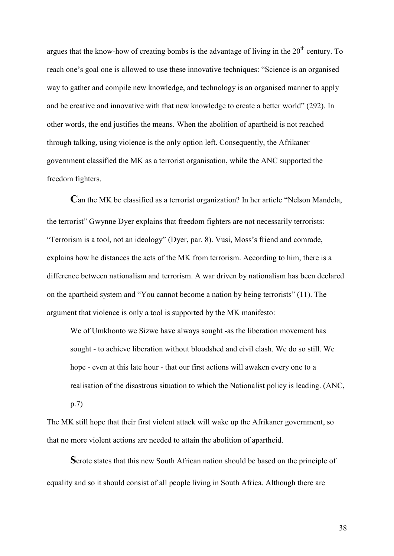argues that the know-how of creating bombs is the advantage of living in the  $20<sup>th</sup>$  century. To reach one's goal one is allowed to use these innovative techniques: "Science is an organised way to gather and compile new knowledge, and technology is an organised manner to apply and be creative and innovative with that new knowledge to create a better world" (292). In other words, the end justifies the means. When the abolition of apartheid is not reached through talking, using violence is the only option left. Consequently, the Afrikaner government classified the MK as a terrorist organisation, while the ANC supported the freedom fighters.

**C**an the MK be classified as a terrorist organization? In her article "Nelson Mandela, the terrorist" Gwynne Dyer explains that freedom fighters are not necessarily terrorists: "Terrorism is a tool, not an ideology" (Dyer, par. 8). Vusi, Moss's friend and comrade, explains how he distances the acts of the MK from terrorism. According to him, there is a difference between nationalism and terrorism. A war driven by nationalism has been declared on the apartheid system and "You cannot become a nation by being terrorists" (11). The argument that violence is only a tool is supported by the MK manifesto:

We of Umkhonto we Sizwe have always sought -as the liberation movement has sought - to achieve liberation without bloodshed and civil clash. We do so still. We hope - even at this late hour - that our first actions will awaken every one to a realisation of the disastrous situation to which the Nationalist policy is leading. (ANC, p.7)

The MK still hope that their first violent attack will wake up the Afrikaner government, so that no more violent actions are needed to attain the abolition of apartheid.

**S**erote states that this new South African nation should be based on the principle of equality and so it should consist of all people living in South Africa. Although there are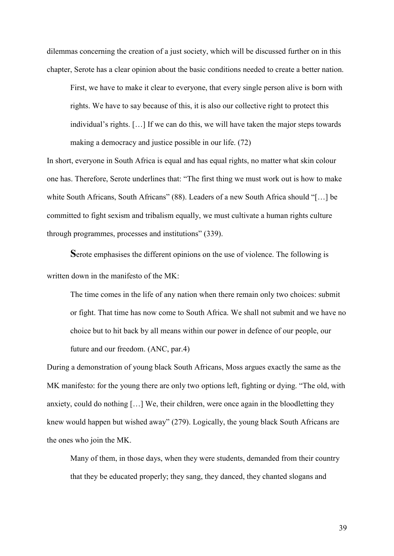dilemmas concerning the creation of a just society, which will be discussed further on in this chapter, Serote has a clear opinion about the basic conditions needed to create a better nation.

First, we have to make it clear to everyone, that every single person alive is born with rights. We have to say because of this, it is also our collective right to protect this individual's rights. […] If we can do this, we will have taken the major steps towards making a democracy and justice possible in our life. (72)

In short, everyone in South Africa is equal and has equal rights, no matter what skin colour one has. Therefore, Serote underlines that: "The first thing we must work out is how to make white South Africans, South Africans" (88). Leaders of a new South Africa should "[...] be committed to fight sexism and tribalism equally, we must cultivate a human rights culture through programmes, processes and institutions" (339).

**S**erote emphasises the different opinions on the use of violence. The following is written down in the manifesto of the MK:

The time comes in the life of any nation when there remain only two choices: submit or fight. That time has now come to South Africa. We shall not submit and we have no choice but to hit back by all means within our power in defence of our people, our future and our freedom. (ANC, par.4)

During a demonstration of young black South Africans, Moss argues exactly the same as the MK manifesto: for the young there are only two options left, fighting or dying. "The old, with anxiety, could do nothing […] We, their children, were once again in the bloodletting they knew would happen but wished away" (279). Logically, the young black South Africans are the ones who join the MK.

Many of them, in those days, when they were students, demanded from their country that they be educated properly; they sang, they danced, they chanted slogans and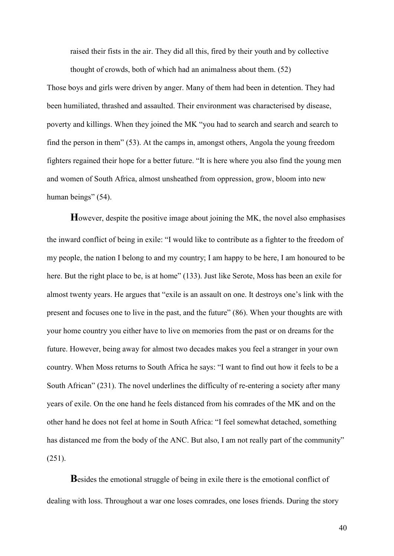raised their fists in the air. They did all this, fired by their youth and by collective

thought of crowds, both of which had an animalness about them. (52)

Those boys and girls were driven by anger. Many of them had been in detention. They had been humiliated, thrashed and assaulted. Their environment was characterised by disease, poverty and killings. When they joined the MK "you had to search and search and search to find the person in them" (53). At the camps in, amongst others, Angola the young freedom fighters regained their hope for a better future. "It is here where you also find the young men and women of South Africa, almost unsheathed from oppression, grow, bloom into new human beings" (54).

**H**owever, despite the positive image about joining the MK, the novel also emphasises the inward conflict of being in exile: "I would like to contribute as a fighter to the freedom of my people, the nation I belong to and my country; I am happy to be here, I am honoured to be here. But the right place to be, is at home" (133). Just like Serote, Moss has been an exile for almost twenty years. He argues that "exile is an assault on one. It destroys one's link with the present and focuses one to live in the past, and the future" (86). When your thoughts are with your home country you either have to live on memories from the past or on dreams for the future. However, being away for almost two decades makes you feel a stranger in your own country. When Moss returns to South Africa he says: "I want to find out how it feels to be a South African" (231). The novel underlines the difficulty of re-entering a society after many years of exile. On the one hand he feels distanced from his comrades of the MK and on the other hand he does not feel at home in South Africa: "I feel somewhat detached, something has distanced me from the body of the ANC. But also, I am not really part of the community"  $(251)$ .

**B**esides the emotional struggle of being in exile there is the emotional conflict of dealing with loss. Throughout a war one loses comrades, one loses friends. During the story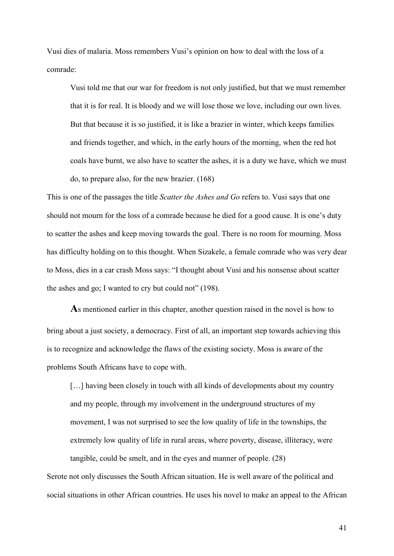Vusi dies of malaria. Moss remembers Vusi's opinion on how to deal with the loss of a comrade:

Vusi told me that our war for freedom is not only justified, but that we must remember that it is for real. It is bloody and we will lose those we love, including our own lives. But that because it is so justified, it is like a brazier in winter, which keeps families and friends together, and which, in the early hours of the morning, when the red hot coals have burnt, we also have to scatter the ashes, it is a duty we have, which we must do, to prepare also, for the new brazier. (168)

This is one of the passages the title *Scatter the Ashes and Go* refers to. Vusi says that one should not mourn for the loss of a comrade because he died for a good cause. It is one's duty to scatter the ashes and keep moving towards the goal. There is no room for mourning. Moss has difficulty holding on to this thought. When Sizakele, a female comrade who was very dear to Moss, dies in a car crash Moss says: "I thought about Vusi and his nonsense about scatter the ashes and go; I wanted to cry but could not" (198).

**A**s mentioned earlier in this chapter, another question raised in the novel is how to bring about a just society, a democracy. First of all, an important step towards achieving this is to recognize and acknowledge the flaws of the existing society. Moss is aware of the problems South Africans have to cope with.

[...] having been closely in touch with all kinds of developments about my country and my people, through my involvement in the underground structures of my movement, I was not surprised to see the low quality of life in the townships, the extremely low quality of life in rural areas, where poverty, disease, illiteracy, were tangible, could be smelt, and in the eyes and manner of people. (28)

Serote not only discusses the South African situation. He is well aware of the political and social situations in other African countries. He uses his novel to make an appeal to the African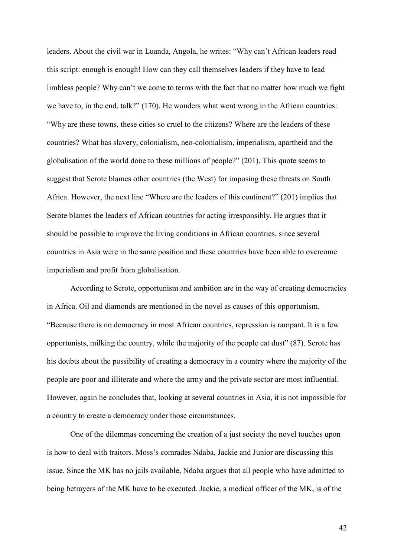leaders. About the civil war in Luanda, Angola, he writes: "Why can't African leaders read this script: enough is enough! How can they call themselves leaders if they have to lead limbless people? Why can't we come to terms with the fact that no matter how much we fight we have to, in the end, talk?" (170). He wonders what went wrong in the African countries: "Why are these towns, these cities so cruel to the citizens? Where are the leaders of these countries? What has slavery, colonialism, neo-colonialism, imperialism, apartheid and the globalisation of the world done to these millions of people?" (201). This quote seems to suggest that Serote blames other countries (the West) for imposing these threats on South Africa. However, the next line "Where are the leaders of this continent?" (201) implies that Serote blames the leaders of African countries for acting irresponsibly. He argues that it should be possible to improve the living conditions in African countries, since several countries in Asia were in the same position and these countries have been able to overcome imperialism and profit from globalisation.

 According to Serote, opportunism and ambition are in the way of creating democracies in Africa. Oil and diamonds are mentioned in the novel as causes of this opportunism. "Because there is no democracy in most African countries, repression is rampant. It is a few opportunists, milking the country, while the majority of the people eat dust" (87). Serote has his doubts about the possibility of creating a democracy in a country where the majority of the people are poor and illiterate and where the army and the private sector are most influential. However, again he concludes that, looking at several countries in Asia, it is not impossible for a country to create a democracy under those circumstances.

 One of the dilemmas concerning the creation of a just society the novel touches upon is how to deal with traitors. Moss's comrades Ndaba, Jackie and Junior are discussing this issue. Since the MK has no jails available, Ndaba argues that all people who have admitted to being betrayers of the MK have to be executed. Jackie, a medical officer of the MK, is of the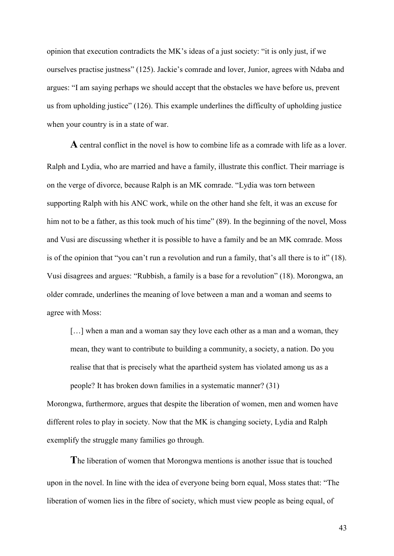opinion that execution contradicts the MK's ideas of a just society: "it is only just, if we ourselves practise justness" (125). Jackie's comrade and lover, Junior, agrees with Ndaba and argues: "I am saying perhaps we should accept that the obstacles we have before us, prevent us from upholding justice" (126). This example underlines the difficulty of upholding justice when your country is in a state of war.

**A** central conflict in the novel is how to combine life as a comrade with life as a lover. Ralph and Lydia, who are married and have a family, illustrate this conflict. Their marriage is on the verge of divorce, because Ralph is an MK comrade. "Lydia was torn between supporting Ralph with his ANC work, while on the other hand she felt, it was an excuse for him not to be a father, as this took much of his time" (89). In the beginning of the novel, Moss and Vusi are discussing whether it is possible to have a family and be an MK comrade. Moss is of the opinion that "you can't run a revolution and run a family, that's all there is to it" (18). Vusi disagrees and argues: "Rubbish, a family is a base for a revolution" (18). Morongwa, an older comrade, underlines the meaning of love between a man and a woman and seems to agree with Moss:

[...] when a man and a woman say they love each other as a man and a woman, they mean, they want to contribute to building a community, a society, a nation. Do you realise that that is precisely what the apartheid system has violated among us as a people? It has broken down families in a systematic manner? (31)

Morongwa, furthermore, argues that despite the liberation of women, men and women have different roles to play in society. Now that the MK is changing society, Lydia and Ralph exemplify the struggle many families go through.

**T**he liberation of women that Morongwa mentions is another issue that is touched upon in the novel. In line with the idea of everyone being born equal, Moss states that: "The liberation of women lies in the fibre of society, which must view people as being equal, of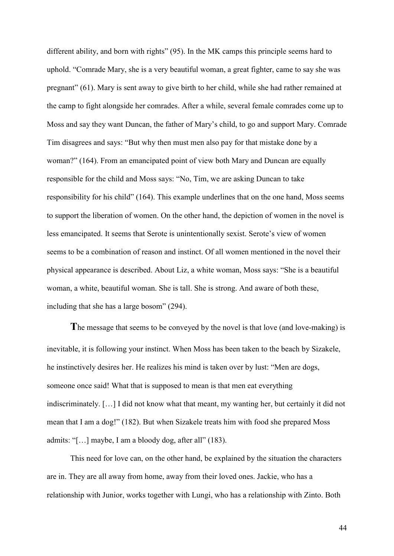different ability, and born with rights" (95). In the MK camps this principle seems hard to uphold. "Comrade Mary, she is a very beautiful woman, a great fighter, came to say she was pregnant" (61). Mary is sent away to give birth to her child, while she had rather remained at the camp to fight alongside her comrades. After a while, several female comrades come up to Moss and say they want Duncan, the father of Mary's child, to go and support Mary. Comrade Tim disagrees and says: "But why then must men also pay for that mistake done by a woman?" (164). From an emancipated point of view both Mary and Duncan are equally responsible for the child and Moss says: "No, Tim, we are asking Duncan to take responsibility for his child" (164). This example underlines that on the one hand, Moss seems to support the liberation of women. On the other hand, the depiction of women in the novel is less emancipated. It seems that Serote is unintentionally sexist. Serote's view of women seems to be a combination of reason and instinct. Of all women mentioned in the novel their physical appearance is described. About Liz, a white woman, Moss says: "She is a beautiful woman, a white, beautiful woman. She is tall. She is strong. And aware of both these, including that she has a large bosom" (294).

**T**he message that seems to be conveyed by the novel is that love (and love-making) is inevitable, it is following your instinct. When Moss has been taken to the beach by Sizakele, he instinctively desires her. He realizes his mind is taken over by lust: "Men are dogs, someone once said! What that is supposed to mean is that men eat everything indiscriminately. […] I did not know what that meant, my wanting her, but certainly it did not mean that I am a dog!" (182). But when Sizakele treats him with food she prepared Moss admits: "[…] maybe, I am a bloody dog, after all" (183).

This need for love can, on the other hand, be explained by the situation the characters are in. They are all away from home, away from their loved ones. Jackie, who has a relationship with Junior, works together with Lungi, who has a relationship with Zinto. Both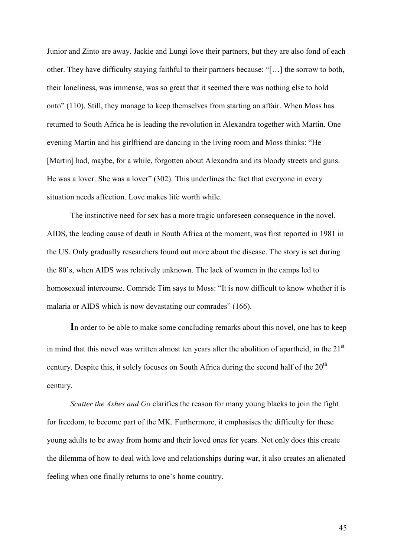Junior and Zinto are away. Jackie and Lungi love their partners, but they are also fond of each other. They have difficulty staying faithful to their partners because: "[…] the sorrow to both, their loneliness, was immense, was so great that it seemed there was nothing else to hold onto" (110). Still, they manage to keep themselves from starting an affair. When Moss has returned to South Africa he is leading the revolution in Alexandra together with Martin. One evening Martin and his girlfriend are dancing in the living room and Moss thinks: "He [Martin] had, maybe, for a while, forgotten about Alexandra and its bloody streets and guns. He was a lover. She was a lover" (302). This underlines the fact that everyone in every situation needs affection. Love makes life worth while.

The instinctive need for sex has a more tragic unforeseen consequence in the novel. AIDS, the leading cause of death in South Africa at the moment, was first reported in 1981 in the US. Only gradually researchers found out more about the disease. The story is set during the 80's, when AIDS was relatively unknown. The lack of women in the camps led to homosexual intercourse. Comrade Tim says to Moss: "It is now difficult to know whether it is malaria or AIDS which is now devastating our comrades" (166).

**I**n order to be able to make some concluding remarks about this novel, one has to keep in mind that this novel was written almost ten years after the abolition of apartheid, in the  $21<sup>st</sup>$ century. Despite this, it solely focuses on South Africa during the second half of the  $20<sup>th</sup>$ century.

*Scatter the Ashes and Go* clarifies the reason for many young blacks to join the fight for freedom, to become part of the MK. Furthermore, it emphasises the difficulty for these young adults to be away from home and their loved ones for years. Not only does this create the dilemma of how to deal with love and relationships during war, it also creates an alienated feeling when one finally returns to one's home country.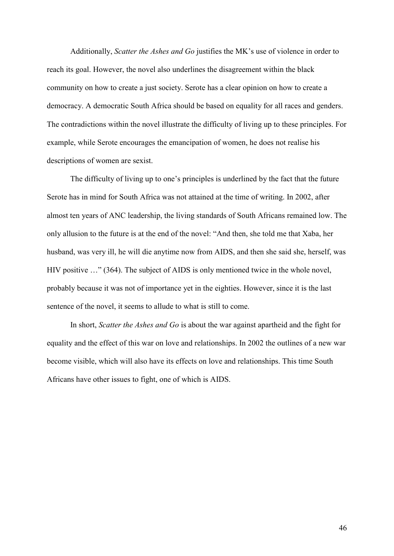Additionally, *Scatter the Ashes and Go* justifies the MK's use of violence in order to reach its goal. However, the novel also underlines the disagreement within the black community on how to create a just society. Serote has a clear opinion on how to create a democracy. A democratic South Africa should be based on equality for all races and genders. The contradictions within the novel illustrate the difficulty of living up to these principles. For example, while Serote encourages the emancipation of women, he does not realise his descriptions of women are sexist.

The difficulty of living up to one's principles is underlined by the fact that the future Serote has in mind for South Africa was not attained at the time of writing. In 2002, after almost ten years of ANC leadership, the living standards of South Africans remained low. The only allusion to the future is at the end of the novel: "And then, she told me that Xaba, her husband, was very ill, he will die anytime now from AIDS, and then she said she, herself, was HIV positive …" (364). The subject of AIDS is only mentioned twice in the whole novel, probably because it was not of importance yet in the eighties. However, since it is the last sentence of the novel, it seems to allude to what is still to come.

In short, *Scatter the Ashes and Go* is about the war against apartheid and the fight for equality and the effect of this war on love and relationships. In 2002 the outlines of a new war become visible, which will also have its effects on love and relationships. This time South Africans have other issues to fight, one of which is AIDS.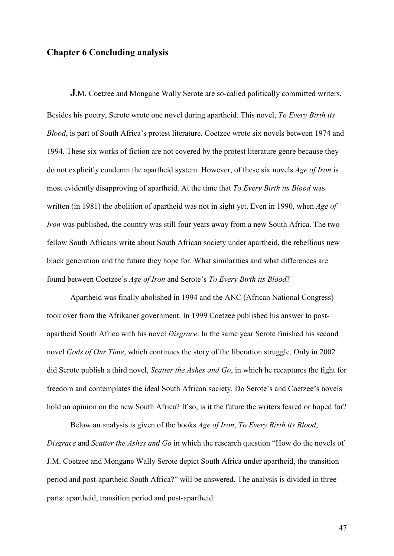# **Chapter 6 Concluding analysis**

**J**.M. Coetzee and Mongane Wally Serote are so-called politically committed writers. Besides his poetry, Serote wrote one novel during apartheid. This novel, *To Every Birth its Blood*, is part of South Africa's protest literature. Coetzee wrote six novels between 1974 and 1994. These six works of fiction are not covered by the protest literature genre because they do not explicitly condemn the apartheid system. However, of these six novels *Age of Iron* is most evidently disapproving of apartheid. At the time that *To Every Birth its Blood* was written (in 1981) the abolition of apartheid was not in sight yet. Even in 1990, when *Age of Iron* was published, the country was still four years away from a new South Africa. The two fellow South Africans write about South African society under apartheid, the rebellious new black generation and the future they hope for. What similarities and what differences are found between Coetzee's *Age of Iron* and Serote's *To Every Birth its Blood*?

Apartheid was finally abolished in 1994 and the ANC (African National Congress) took over from the Afrikaner government. In 1999 Coetzee published his answer to postapartheid South Africa with his novel *Disgrace*. In the same year Serote finished his second novel *Gods of Our Time*, which continues the story of the liberation struggle. Only in 2002 did Serote publish a third novel, *Scatter the Ashes and Go*, in which he recaptures the fight for freedom and contemplates the ideal South African society. Do Serote's and Coetzee's novels hold an opinion on the new South Africa? If so, is it the future the writers feared or hoped for?

Below an analysis is given of the books *Age of Iron*, *To Every Birth its Blood*, *Disgrace* and *Scatter the Ashes and Go* in which the research question "How do the novels of J.M. Coetzee and Mongane Wally Serote depict South Africa under apartheid, the transition period and post-apartheid South Africa?" will be answered**.** The analysis is divided in three parts: apartheid, transition period and post-apartheid.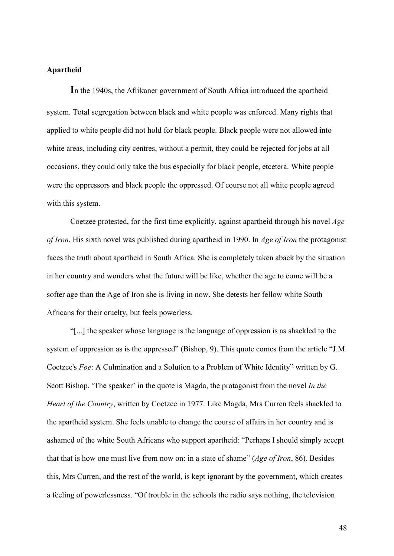## **Apartheid**

**I**n the 1940s, the Afrikaner government of South Africa introduced the apartheid system. Total segregation between black and white people was enforced. Many rights that applied to white people did not hold for black people. Black people were not allowed into white areas, including city centres, without a permit, they could be rejected for jobs at all occasions, they could only take the bus especially for black people, etcetera. White people were the oppressors and black people the oppressed. Of course not all white people agreed with this system.

Coetzee protested, for the first time explicitly, against apartheid through his novel *Age of Iron*. His sixth novel was published during apartheid in 1990. In *Age of Iron* the protagonist faces the truth about apartheid in South Africa. She is completely taken aback by the situation in her country and wonders what the future will be like, whether the age to come will be a softer age than the Age of Iron she is living in now. She detests her fellow white South Africans for their cruelty, but feels powerless.

"[...] the speaker whose language is the language of oppression is as shackled to the system of oppression as is the oppressed" (Bishop, 9). This quote comes from the article "J.M. Coetzee's *Foe*: A Culmination and a Solution to a Problem of White Identity" written by G. Scott Bishop. 'The speaker' in the quote is Magda, the protagonist from the novel *In the Heart of the Country*, written by Coetzee in 1977. Like Magda, Mrs Curren feels shackled to the apartheid system. She feels unable to change the course of affairs in her country and is ashamed of the white South Africans who support apartheid: "Perhaps I should simply accept that that is how one must live from now on: in a state of shame" (*Age of Iron*, 86). Besides this, Mrs Curren, and the rest of the world, is kept ignorant by the government, which creates a feeling of powerlessness. "Of trouble in the schools the radio says nothing, the television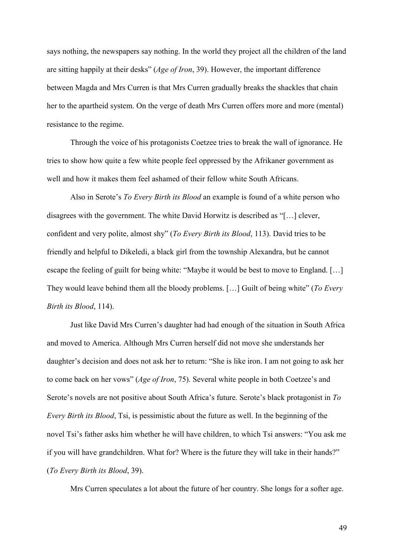says nothing, the newspapers say nothing. In the world they project all the children of the land are sitting happily at their desks" (*Age of Iron*, 39). However, the important difference between Magda and Mrs Curren is that Mrs Curren gradually breaks the shackles that chain her to the apartheid system. On the verge of death Mrs Curren offers more and more (mental) resistance to the regime.

Through the voice of his protagonists Coetzee tries to break the wall of ignorance. He tries to show how quite a few white people feel oppressed by the Afrikaner government as well and how it makes them feel ashamed of their fellow white South Africans.

Also in Serote's *To Every Birth its Blood* an example is found of a white person who disagrees with the government. The white David Horwitz is described as "[…] clever, confident and very polite, almost shy" (*To Every Birth its Blood*, 113). David tries to be friendly and helpful to Dikeledi, a black girl from the township Alexandra, but he cannot escape the feeling of guilt for being white: "Maybe it would be best to move to England. […] They would leave behind them all the bloody problems. […] Guilt of being white" (*To Every Birth its Blood*, 114).

Just like David Mrs Curren's daughter had had enough of the situation in South Africa and moved to America. Although Mrs Curren herself did not move she understands her daughter's decision and does not ask her to return: "She is like iron. I am not going to ask her to come back on her vows" (*Age of Iron*, 75). Several white people in both Coetzee's and Serote's novels are not positive about South Africa's future. Serote's black protagonist in *To Every Birth its Blood*, Tsi, is pessimistic about the future as well. In the beginning of the novel Tsi's father asks him whether he will have children, to which Tsi answers: "You ask me if you will have grandchildren. What for? Where is the future they will take in their hands?" (*To Every Birth its Blood*, 39).

Mrs Curren speculates a lot about the future of her country. She longs for a softer age.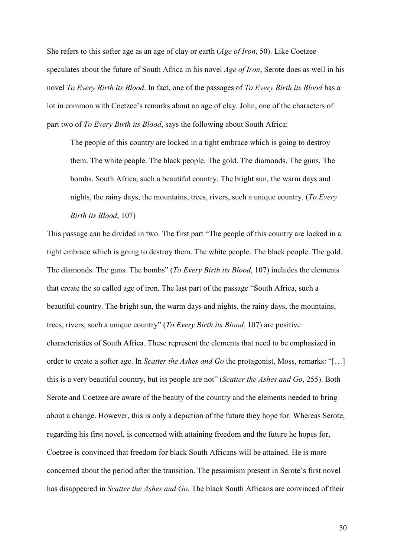She refers to this softer age as an age of clay or earth (*Age of Iron*, 50). Like Coetzee speculates about the future of South Africa in his novel *Age of Iron*, Serote does as well in his novel *To Every Birth its Blood*. In fact, one of the passages of *To Every Birth its Blood* has a lot in common with Coetzee's remarks about an age of clay. John, one of the characters of part two of *To Every Birth its Blood*, says the following about South Africa:

The people of this country are locked in a tight embrace which is going to destroy them. The white people. The black people. The gold. The diamonds. The guns. The bombs. South Africa, such a beautiful country. The bright sun, the warm days and nights, the rainy days, the mountains, trees, rivers, such a unique country. (*To Every Birth its Blood*, 107)

This passage can be divided in two. The first part "The people of this country are locked in a tight embrace which is going to destroy them. The white people. The black people. The gold. The diamonds. The guns. The bombs" (*To Every Birth its Blood*, 107) includes the elements that create the so called age of iron. The last part of the passage "South Africa, such a beautiful country. The bright sun, the warm days and nights, the rainy days, the mountains, trees, rivers, such a unique country" (*To Every Birth its Blood*, 107) are positive characteristics of South Africa. These represent the elements that need to be emphasized in order to create a softer age. In *Scatter the Ashes and Go* the protagonist, Moss, remarks: "[…] this is a very beautiful country, but its people are not" (*Scatter the Ashes and Go*, 255). Both Serote and Coetzee are aware of the beauty of the country and the elements needed to bring about a change. However, this is only a depiction of the future they hope for. Whereas Serote, regarding his first novel, is concerned with attaining freedom and the future he hopes for, Coetzee is convinced that freedom for black South Africans will be attained. He is more concerned about the period after the transition. The pessimism present in Serote's first novel has disappeared in *Scatter the Ashes and Go*. The black South Africans are convinced of their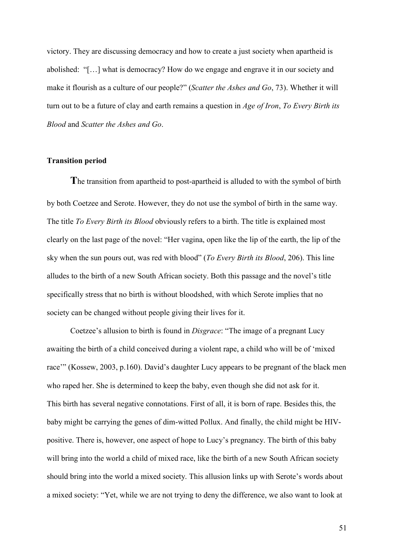victory. They are discussing democracy and how to create a just society when apartheid is abolished: "[…] what is democracy? How do we engage and engrave it in our society and make it flourish as a culture of our people?" (*Scatter the Ashes and Go*, 73). Whether it will turn out to be a future of clay and earth remains a question in *Age of Iron*, *To Every Birth its Blood* and *Scatter the Ashes and Go*.

#### **Transition period**

**T**he transition from apartheid to post-apartheid is alluded to with the symbol of birth by both Coetzee and Serote. However, they do not use the symbol of birth in the same way. The title *To Every Birth its Blood* obviously refers to a birth. The title is explained most clearly on the last page of the novel: "Her vagina, open like the lip of the earth, the lip of the sky when the sun pours out, was red with blood" (*To Every Birth its Blood*, 206). This line alludes to the birth of a new South African society. Both this passage and the novel's title specifically stress that no birth is without bloodshed, with which Serote implies that no society can be changed without people giving their lives for it.

 Coetzee's allusion to birth is found in *Disgrace*: "The image of a pregnant Lucy awaiting the birth of a child conceived during a violent rape, a child who will be of 'mixed race'" (Kossew, 2003, p.160). David's daughter Lucy appears to be pregnant of the black men who raped her. She is determined to keep the baby, even though she did not ask for it. This birth has several negative connotations. First of all, it is born of rape. Besides this, the baby might be carrying the genes of dim-witted Pollux. And finally, the child might be HIVpositive. There is, however, one aspect of hope to Lucy's pregnancy. The birth of this baby will bring into the world a child of mixed race, like the birth of a new South African society should bring into the world a mixed society. This allusion links up with Serote's words about a mixed society: "Yet, while we are not trying to deny the difference, we also want to look at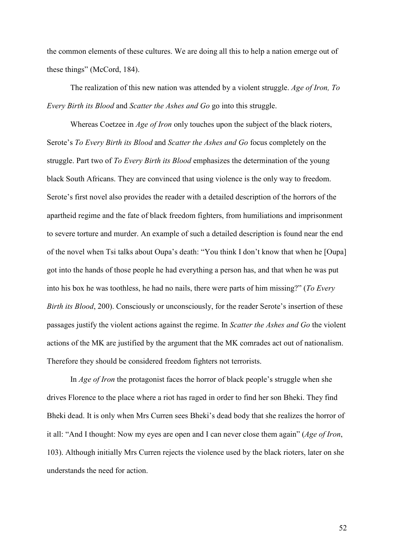the common elements of these cultures. We are doing all this to help a nation emerge out of these things" (McCord, 184).

The realization of this new nation was attended by a violent struggle. *Age of Iron, To Every Birth its Blood* and *Scatter the Ashes and Go* go into this struggle.

Whereas Coetzee in *Age of Iron* only touches upon the subject of the black rioters, Serote's *To Every Birth its Blood* and *Scatter the Ashes and Go* focus completely on the struggle. Part two of *To Every Birth its Blood* emphasizes the determination of the young black South Africans. They are convinced that using violence is the only way to freedom. Serote's first novel also provides the reader with a detailed description of the horrors of the apartheid regime and the fate of black freedom fighters, from humiliations and imprisonment to severe torture and murder. An example of such a detailed description is found near the end of the novel when Tsi talks about Oupa's death: "You think I don't know that when he [Oupa] got into the hands of those people he had everything a person has, and that when he was put into his box he was toothless, he had no nails, there were parts of him missing?" (*To Every Birth its Blood*, 200). Consciously or unconsciously, for the reader Serote's insertion of these passages justify the violent actions against the regime. In *Scatter the Ashes and Go* the violent actions of the MK are justified by the argument that the MK comrades act out of nationalism. Therefore they should be considered freedom fighters not terrorists.

In *Age of Iron* the protagonist faces the horror of black people's struggle when she drives Florence to the place where a riot has raged in order to find her son Bheki. They find Bheki dead. It is only when Mrs Curren sees Bheki's dead body that she realizes the horror of it all: "And I thought: Now my eyes are open and I can never close them again" (*Age of Iron*, 103). Although initially Mrs Curren rejects the violence used by the black rioters, later on she understands the need for action.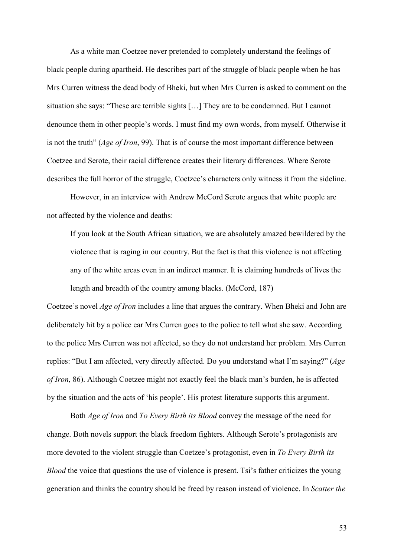As a white man Coetzee never pretended to completely understand the feelings of black people during apartheid. He describes part of the struggle of black people when he has Mrs Curren witness the dead body of Bheki, but when Mrs Curren is asked to comment on the situation she says: "These are terrible sights […] They are to be condemned. But I cannot denounce them in other people's words. I must find my own words, from myself. Otherwise it is not the truth" (*Age of Iron*, 99). That is of course the most important difference between Coetzee and Serote, their racial difference creates their literary differences. Where Serote describes the full horror of the struggle, Coetzee's characters only witness it from the sideline.

However, in an interview with Andrew McCord Serote argues that white people are not affected by the violence and deaths:

If you look at the South African situation, we are absolutely amazed bewildered by the violence that is raging in our country. But the fact is that this violence is not affecting any of the white areas even in an indirect manner. It is claiming hundreds of lives the length and breadth of the country among blacks. (McCord, 187)

Coetzee's novel *Age of Iron* includes a line that argues the contrary. When Bheki and John are deliberately hit by a police car Mrs Curren goes to the police to tell what she saw. According to the police Mrs Curren was not affected, so they do not understand her problem. Mrs Curren replies: "But I am affected, very directly affected. Do you understand what I'm saying?" (*Age of Iron*, 86). Although Coetzee might not exactly feel the black man's burden, he is affected by the situation and the acts of 'his people'. His protest literature supports this argument.

Both *Age of Iron* and *To Every Birth its Blood* convey the message of the need for change. Both novels support the black freedom fighters. Although Serote's protagonists are more devoted to the violent struggle than Coetzee's protagonist, even in *To Every Birth its Blood* the voice that questions the use of violence is present. Tsi's father criticizes the young generation and thinks the country should be freed by reason instead of violence. In *Scatter the*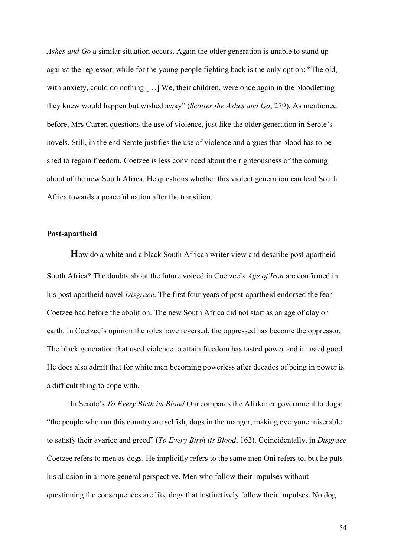*Ashes and Go* a similar situation occurs. Again the older generation is unable to stand up against the repressor, while for the young people fighting back is the only option: "The old, with anxiety, could do nothing [...] We, their children, were once again in the bloodletting they knew would happen but wished away" (*Scatter the Ashes and Go*, 279). As mentioned before, Mrs Curren questions the use of violence, just like the older generation in Serote's novels. Still, in the end Serote justifies the use of violence and argues that blood has to be shed to regain freedom. Coetzee is less convinced about the righteousness of the coming about of the new South Africa. He questions whether this violent generation can lead South Africa towards a peaceful nation after the transition.

#### **Post-apartheid**

**H**ow do a white and a black South African writer view and describe post-apartheid South Africa? The doubts about the future voiced in Coetzee's *Age of Iron* are confirmed in his post-apartheid novel *Disgrace*. The first four years of post-apartheid endorsed the fear Coetzee had before the abolition. The new South Africa did not start as an age of clay or earth. In Coetzee's opinion the roles have reversed, the oppressed has become the oppressor. The black generation that used violence to attain freedom has tasted power and it tasted good. He does also admit that for white men becoming powerless after decades of being in power is a difficult thing to cope with.

In Serote's *To Every Birth its Blood* Oni compares the Afrikaner government to dogs: "the people who run this country are selfish, dogs in the manger, making everyone miserable to satisfy their avarice and greed" (*To Every Birth its Blood*, 162). Coincidentally, in *Disgrace* Coetzee refers to men as dogs. He implicitly refers to the same men Oni refers to, but he puts his allusion in a more general perspective. Men who follow their impulses without questioning the consequences are like dogs that instinctively follow their impulses. No dog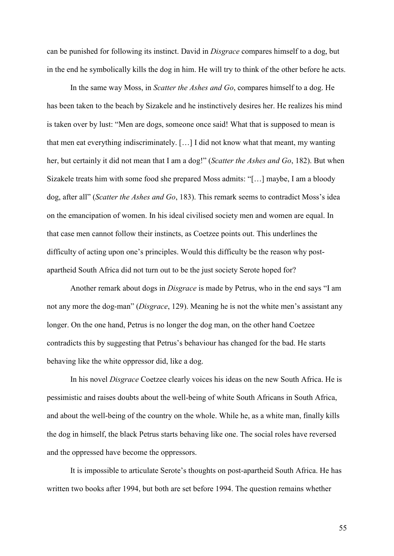can be punished for following its instinct. David in *Disgrace* compares himself to a dog, but in the end he symbolically kills the dog in him. He will try to think of the other before he acts.

In the same way Moss, in *Scatter the Ashes and Go*, compares himself to a dog. He has been taken to the beach by Sizakele and he instinctively desires her. He realizes his mind is taken over by lust: "Men are dogs, someone once said! What that is supposed to mean is that men eat everything indiscriminately. […] I did not know what that meant, my wanting her, but certainly it did not mean that I am a dog!" (*Scatter the Ashes and Go*, 182). But when Sizakele treats him with some food she prepared Moss admits: "[…] maybe, I am a bloody dog, after all" (*Scatter the Ashes and Go*, 183). This remark seems to contradict Moss's idea on the emancipation of women. In his ideal civilised society men and women are equal. In that case men cannot follow their instincts, as Coetzee points out. This underlines the difficulty of acting upon one's principles. Would this difficulty be the reason why postapartheid South Africa did not turn out to be the just society Serote hoped for?

Another remark about dogs in *Disgrace* is made by Petrus, who in the end says "I am not any more the dog-man" (*Disgrace*, 129). Meaning he is not the white men's assistant any longer. On the one hand, Petrus is no longer the dog man, on the other hand Coetzee contradicts this by suggesting that Petrus's behaviour has changed for the bad. He starts behaving like the white oppressor did, like a dog.

In his novel *Disgrace* Coetzee clearly voices his ideas on the new South Africa. He is pessimistic and raises doubts about the well-being of white South Africans in South Africa, and about the well-being of the country on the whole. While he, as a white man, finally kills the dog in himself, the black Petrus starts behaving like one. The social roles have reversed and the oppressed have become the oppressors.

It is impossible to articulate Serote's thoughts on post-apartheid South Africa. He has written two books after 1994, but both are set before 1994. The question remains whether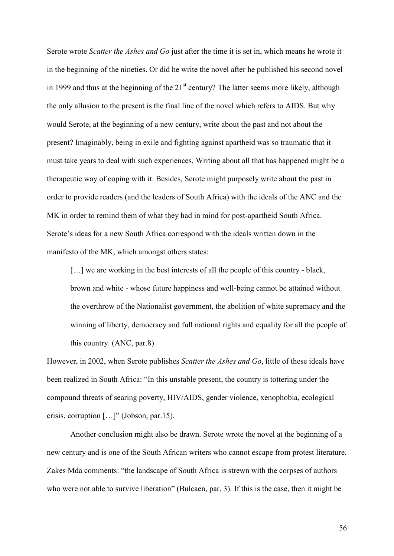Serote wrote *Scatter the Ashes and Go* just after the time it is set in, which means he wrote it in the beginning of the nineties. Or did he write the novel after he published his second novel in 1999 and thus at the beginning of the  $21<sup>st</sup>$  century? The latter seems more likely, although the only allusion to the present is the final line of the novel which refers to AIDS. But why would Serote, at the beginning of a new century, write about the past and not about the present? Imaginably, being in exile and fighting against apartheid was so traumatic that it must take years to deal with such experiences. Writing about all that has happened might be a therapeutic way of coping with it. Besides, Serote might purposely write about the past in order to provide readers (and the leaders of South Africa) with the ideals of the ANC and the MK in order to remind them of what they had in mind for post-apartheid South Africa. Serote's ideas for a new South Africa correspond with the ideals written down in the manifesto of the MK, which amongst others states:

[...] we are working in the best interests of all the people of this country - black, brown and white - whose future happiness and well-being cannot be attained without the overthrow of the Nationalist government, the abolition of white supremacy and the winning of liberty, democracy and full national rights and equality for all the people of this country. (ANC, par.8)

However, in 2002, when Serote publishes *Scatter the Ashes and Go*, little of these ideals have been realized in South Africa: "In this unstable present, the country is tottering under the compound threats of searing poverty, HIV/AIDS, gender violence, xenophobia, ecological crisis, corruption […]" (Jobson, par.15).

 Another conclusion might also be drawn. Serote wrote the novel at the beginning of a new century and is one of the South African writers who cannot escape from protest literature. Zakes Mda comments: "the landscape of South Africa is strewn with the corpses of authors who were not able to survive liberation" (Bulcaen, par. 3). If this is the case, then it might be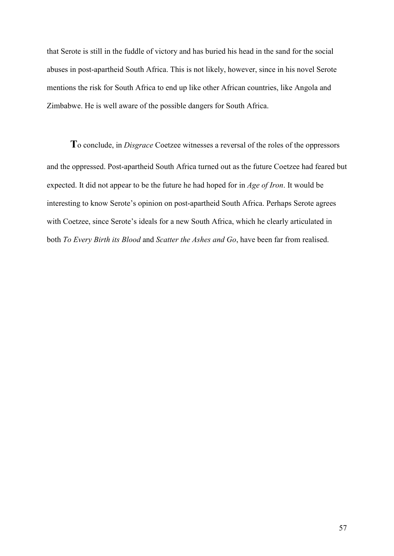that Serote is still in the fuddle of victory and has buried his head in the sand for the social abuses in post-apartheid South Africa. This is not likely, however, since in his novel Serote mentions the risk for South Africa to end up like other African countries, like Angola and Zimbabwe. He is well aware of the possible dangers for South Africa.

**T**o conclude, in *Disgrace* Coetzee witnesses a reversal of the roles of the oppressors and the oppressed. Post-apartheid South Africa turned out as the future Coetzee had feared but expected. It did not appear to be the future he had hoped for in *Age of Iron*. It would be interesting to know Serote's opinion on post-apartheid South Africa. Perhaps Serote agrees with Coetzee, since Serote's ideals for a new South Africa, which he clearly articulated in both *To Every Birth its Blood* and *Scatter the Ashes and Go*, have been far from realised.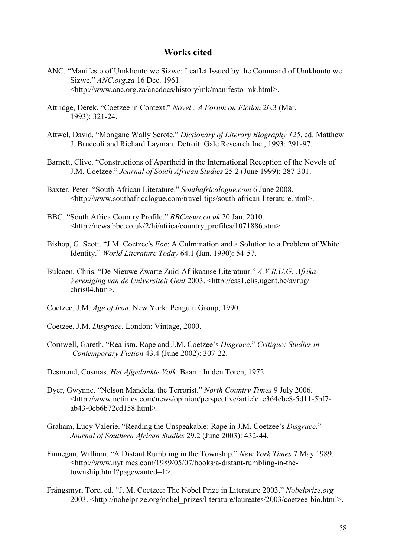# **Works cited**

- ANC. "Manifesto of Umkhonto we Sizwe: Leaflet Issued by the Command of Umkhonto we Sizwe." *ANC.org.za* 16 Dec. 1961. <http://www.anc.org.za/ancdocs/history/mk/manifesto-mk.html>.
- Attridge, Derek. "Coetzee in Context." *Novel : A Forum on Fiction* 26.3 (Mar. 1993): 321-24.
- Attwel, David. "Mongane Wally Serote." *Dictionary of Literary Biography 125*, ed. Matthew J. Bruccoli and Richard Layman. Detroit: Gale Research Inc., 1993: 291-97.
- Barnett, Clive. "Constructions of Apartheid in the International Reception of the Novels of J.M. Coetzee." *Journal of South African Studies* 25.2 (June 1999): 287-301.
- Baxter, Peter. "South African Literature." *Southafricalogue.com* 6 June 2008. <http://www.southafricalogue.com/travel-tips/south-african-literature.html>.
- BBC. "South Africa Country Profile." *BBCnews.co.uk* 20 Jan. 2010. <http://news.bbc.co.uk/2/hi/africa/country\_profiles/1071886.stm>.
- Bishop, G. Scott. "J.M. Coetzee's *Foe*: A Culmination and a Solution to a Problem of White Identity." *World Literature Today* 64.1 (Jan. 1990): 54-57.
- Bulcaen, Chris. "De Nieuwe Zwarte Zuid-Afrikaanse Literatuur." *A.V.R.U.G: Afrika-Vereniging van de Universiteit Gent* 2003. <http://cas1.elis.ugent.be/avrug/ chris04.htm>.
- Coetzee, J.M. *Age of Iron*. New York: Penguin Group, 1990.
- Coetzee, J.M. *Disgrace*. London: Vintage, 2000.
- Cornwell, Gareth. "Realism, Rape and J.M. Coetzee's *Disgrace*." *Critique: Studies in Contemporary Fiction* 43.4 (June 2002): 307-22.
- Desmond, Cosmas. *Het Afgedankte Volk*. Baarn: In den Toren, 1972.
- Dyer, Gwynne. "Nelson Mandela, the Terrorist." *North Country Times* 9 July 2006. <http://www.nctimes.com/news/opinion/perspective/article\_e364ebc8-5d11-5bf7 ab43-0eb6b72cd158.html>.
- Graham, Lucy Valerie. "Reading the Unspeakable: Rape in J.M. Coetzee's *Disgrace.*" *Journal of Southern African Studies* 29.2 (June 2003): 432-44.
- Finnegan, William. "A Distant Rumbling in the Township." *New York Times* 7 May 1989. <http://www.nytimes.com/1989/05/07/books/a-distant-rumbling-in-thetownship.html?pagewanted=1>.
- Frängsmyr, Tore, ed. "J. M. Coetzee: The Nobel Prize in Literature 2003." *Nobelprize.org*  2003. <http://nobelprize.org/nobel\_prizes/literature/laureates/2003/coetzee-bio.html>.